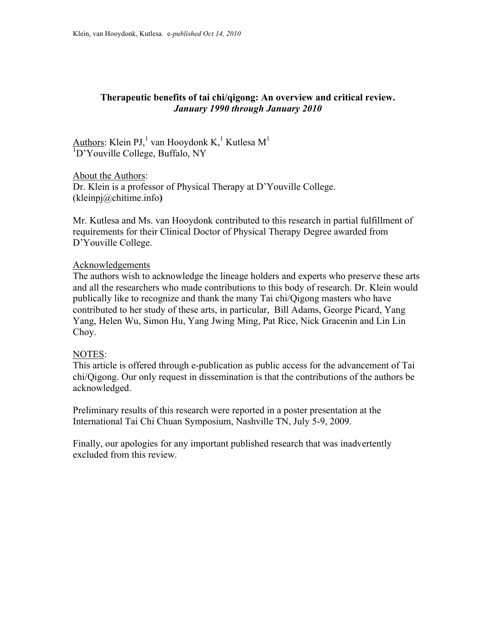# **Therapeutic benefits of tai chi/qigong: An overview and critical review.**  *January 1990 through January 2010*

Authors: Klein PJ,<sup>1</sup> van Hooydonk K,<sup>1</sup> Kutlesa M<sup>1</sup> <sup>1</sup>D'Youville College, Buffalo, NY

About the Authors: Dr. Klein is a professor of Physical Therapy at D'Youville College. (kleinpj@chitime.info**)** 

Mr. Kutlesa and Ms. van Hooydonk contributed to this research in partial fulfillment of requirements for their Clinical Doctor of Physical Therapy Degree awarded from D'Youville College.

## Acknowledgements

The authors wish to acknowledge the lineage holders and experts who preserve these arts and all the researchers who made contributions to this body of research. Dr. Klein would publically like to recognize and thank the many Tai chi/Qigong masters who have contributed to her study of these arts, in particular, Bill Adams, George Picard, Yang Yang, Helen Wu, Simon Hu, Yang Jwing Ming, Pat Rice, Nick Gracenin and Lin Lin Choy.

## NOTES:

This article is offered through e-publication as public access for the advancement of Tai chi/Qigong. Our only request in dissemination is that the contributions of the authors be acknowledged.

Preliminary results of this research were reported in a poster presentation at the International Tai Chi Chuan Symposium, Nashville TN, July 5-9, 2009.

Finally, our apologies for any important published research that was inadvertently excluded from this review.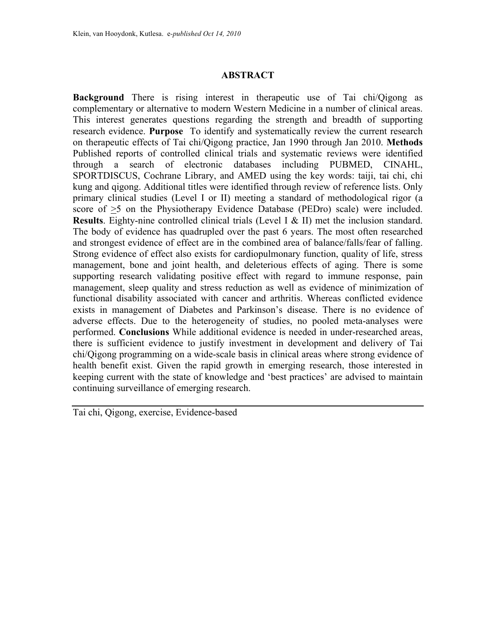## **ABSTRACT**

**Background** There is rising interest in therapeutic use of Tai chi/Qigong as complementary or alternative to modern Western Medicine in a number of clinical areas. This interest generates questions regarding the strength and breadth of supporting research evidence. **Purpose** To identify and systematically review the current research on therapeutic effects of Tai chi/Qigong practice, Jan 1990 through Jan 2010. **Methods** Published reports of controlled clinical trials and systematic reviews were identified through a search of electronic databases including PUBMED, CINAHL, SPORTDISCUS, Cochrane Library, and AMED using the key words: taiji, tai chi, chi kung and qigong. Additional titles were identified through review of reference lists. Only primary clinical studies (Level I or II) meeting a standard of methodological rigor (a score of  $\geq$ 5 on the Physiotherapy Evidence Database (PEDro) scale) were included. **Results**. Eighty-nine controlled clinical trials (Level I & II) met the inclusion standard. The body of evidence has quadrupled over the past 6 years. The most often researched and strongest evidence of effect are in the combined area of balance/falls/fear of falling. Strong evidence of effect also exists for cardiopulmonary function, quality of life, stress management, bone and joint health, and deleterious effects of aging. There is some supporting research validating positive effect with regard to immune response, pain management, sleep quality and stress reduction as well as evidence of minimization of functional disability associated with cancer and arthritis. Whereas conflicted evidence exists in management of Diabetes and Parkinson's disease. There is no evidence of adverse effects. Due to the heterogeneity of studies, no pooled meta-analyses were performed. **Conclusions** While additional evidence is needed in under-researched areas, there is sufficient evidence to justify investment in development and delivery of Tai chi/Qigong programming on a wide-scale basis in clinical areas where strong evidence of health benefit exist. Given the rapid growth in emerging research, those interested in keeping current with the state of knowledge and 'best practices' are advised to maintain continuing surveillance of emerging research.

Tai chi, Qigong, exercise, Evidence-based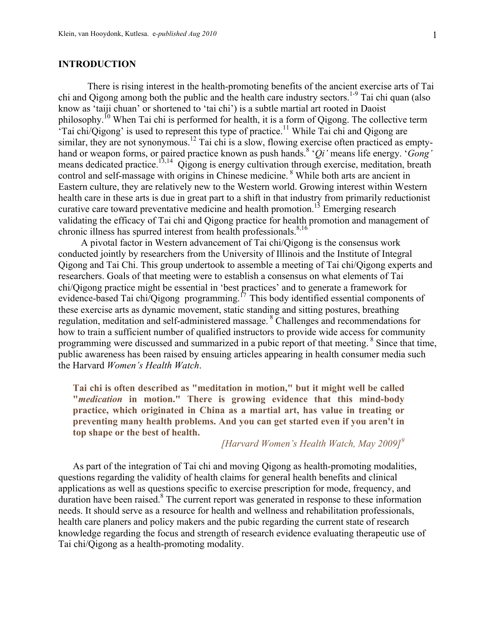### **INTRODUCTION**

There is rising interest in the health-promoting benefits of the ancient exercise arts of Tai chi and Qigong among both the public and the health care industry sectors.<sup>1-9</sup> Tai chi quan (also know as 'taiji chuan' or shortened to 'tai chi') is a subtle martial art rooted in Daoist philosophy.10 When Tai chi is performed for health, it is a form of Qigong. The collective term Tai chi/ $\widetilde{Q}$ igong' is used to represent this type of practice.<sup>11</sup> While Tai chi and Qigong are similar, they are not synonymous.<sup>12</sup> Tai chi is a slow, flowing exercise often practiced as emptyhand or weapon forms, or paired practice known as push hands.8 '*Qi'* means life energy. '*Gong'* means dedicated practice.<sup>13,14</sup> Qigong is energy cultivation through exercise, meditation, breath control and self-massage with origins in Chinese medicine. <sup>8</sup> While both arts are ancient in Eastern culture, they are relatively new to the Western world. Growing interest within Western health care in these arts is due in great part to a shift in that industry from primarily reductionist curative care toward preventative medicine and health promotion.<sup>15</sup> Emerging research validating the efficacy of Tai chi and Qigong practice for health promotion and management of chronic illness has spurred interest from health professionals. $8,16$ 

A pivotal factor in Western advancement of Tai chi/Qigong is the consensus work conducted jointly by researchers from the University of Illinois and the Institute of Integral Qigong and Tai Chi. This group undertook to assemble a meeting of Tai chi/Qigong experts and researchers. Goals of that meeting were to establish a consensus on what elements of Tai chi/Qigong practice might be essential in 'best practices' and to generate a framework for evidence-based Tai chi/Qigong programming.<sup>17</sup> This body identified essential components of these exercise arts as dynamic movement, static standing and sitting postures, breathing regulation, meditation and self-administered massage. 8 Challenges and recommendations for how to train a sufficient number of qualified instructors to provide wide access for community programming were discussed and summarized in a pubic report of that meeting. <sup>8</sup> Since that time, public awareness has been raised by ensuing articles appearing in health consumer media such the Harvard *Women's Health Watch*.

**Tai chi is often described as "meditation in motion," but it might well be called "***medication* **in motion." There is growing evidence that this mind-body practice, which originated in China as a martial art, has value in treating or preventing many health problems. And you can get started even if you aren't in top shape or the best of health.** 

## *[Harvard Women's Health Watch, May 2009]<sup>9</sup>*

As part of the integration of Tai chi and moving Qigong as health-promoting modalities, questions regarding the validity of health claims for general health benefits and clinical applications as well as questions specific to exercise prescription for mode, frequency, and duration have been raised.<sup>8</sup> The current report was generated in response to these information needs. It should serve as a resource for health and wellness and rehabilitation professionals, health care planers and policy makers and the pubic regarding the current state of research knowledge regarding the focus and strength of research evidence evaluating therapeutic use of Tai chi/Qigong as a health-promoting modality.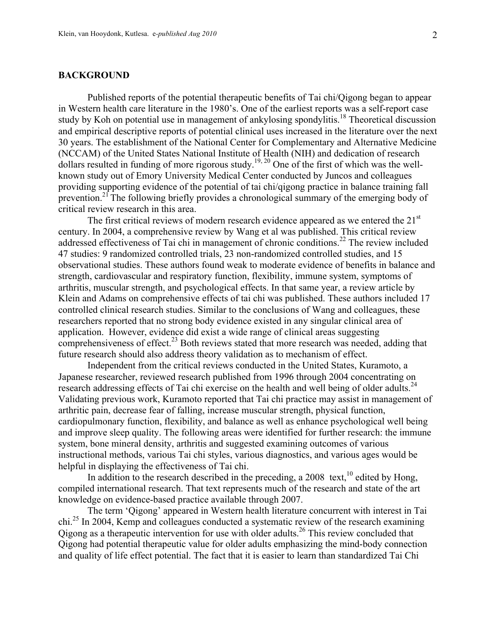### **BACKGROUND**

Published reports of the potential therapeutic benefits of Tai chi/Qigong began to appear in Western health care literature in the 1980's. One of the earliest reports was a self-report case study by Koh on potential use in management of ankylosing spondylitis.<sup>18</sup> Theoretical discussion and empirical descriptive reports of potential clinical uses increased in the literature over the next 30 years. The establishment of the National Center for Complementary and Alternative Medicine (NCCAM) of the United States National Institute of Health (NIH) and dedication of research dollars resulted in funding of more rigorous study.<sup>19, 20</sup> One of the first of which was the wellknown study out of Emory University Medical Center conducted by Juncos and colleagues providing supporting evidence of the potential of tai chi/qigong practice in balance training fall prevention.<sup>21</sup> The following briefly provides a chronological summary of the emerging body of critical review research in this area.

The first critical reviews of modern research evidence appeared as we entered the  $21<sup>st</sup>$ century. In 2004, a comprehensive review by Wang et al was published. This critical review addressed effectiveness of Tai chi in management of chronic conditions.<sup>22</sup> The review included 47 studies: 9 randomized controlled trials, 23 non-randomized controlled studies, and 15 observational studies. These authors found weak to moderate evidence of benefits in balance and strength, cardiovascular and respiratory function, flexibility, immune system, symptoms of arthritis, muscular strength, and psychological effects. In that same year, a review article by Klein and Adams on comprehensive effects of tai chi was published. These authors included 17 controlled clinical research studies. Similar to the conclusions of Wang and colleagues, these researchers reported that no strong body evidence existed in any singular clinical area of application. However, evidence did exist a wide range of clinical areas suggesting comprehensiveness of effect.<sup>23</sup> Both reviews stated that more research was needed, adding that future research should also address theory validation as to mechanism of effect.

Independent from the critical reviews conducted in the United States, Kuramoto, a Japanese researcher, reviewed research published from 1996 through 2004 concentrating on research addressing effects of Tai chi exercise on the health and well being of older adults.<sup>24</sup> Validating previous work, Kuramoto reported that Tai chi practice may assist in management of arthritic pain, decrease fear of falling, increase muscular strength, physical function, cardiopulmonary function, flexibility, and balance as well as enhance psychological well being and improve sleep quality. The following areas were identified for further research: the immune system, bone mineral density, arthritis and suggested examining outcomes of various instructional methods, various Tai chi styles, various diagnostics, and various ages would be helpful in displaying the effectiveness of Tai chi.

In addition to the research described in the preceding, a  $2008$  text,  $^{10}$  edited by Hong, compiled international research. That text represents much of the research and state of the art knowledge on evidence-based practice available through 2007.

The term 'Qigong' appeared in Western health literature concurrent with interest in Tai chi.<sup>25</sup> In 2004, Kemp and colleagues conducted a systematic review of the research examining Qigong as a therapeutic intervention for use with older adults.<sup>26</sup> This review concluded that Qigong had potential therapeutic value for older adults emphasizing the mind-body connection and quality of life effect potential. The fact that it is easier to learn than standardized Tai Chi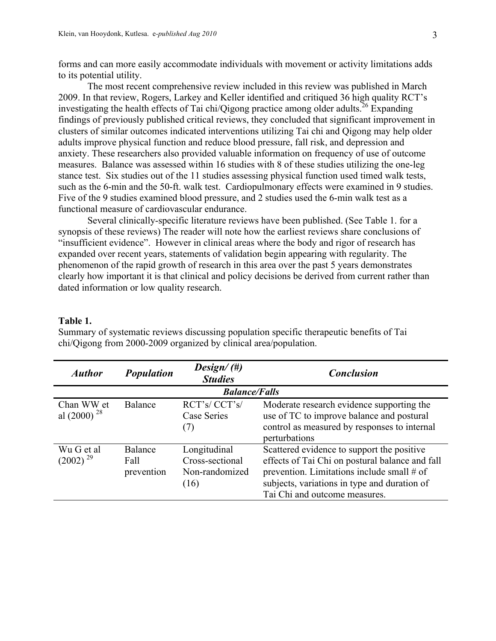forms and can more easily accommodate individuals with movement or activity limitations adds to its potential utility.

The most recent comprehensive review included in this review was published in March 2009. In that review, Rogers, Larkey and Keller identified and critiqued 36 high quality RCT's investigating the health effects of Tai chi/Qigong practice among older adults.<sup>26</sup> Expanding findings of previously published critical reviews, they concluded that significant improvement in clusters of similar outcomes indicated interventions utilizing Tai chi and Qigong may help older adults improve physical function and reduce blood pressure, fall risk, and depression and anxiety. These researchers also provided valuable information on frequency of use of outcome measures. Balance was assessed within 16 studies with 8 of these studies utilizing the one-leg stance test. Six studies out of the 11 studies assessing physical function used timed walk tests, such as the 6-min and the 50-ft. walk test. Cardiopulmonary effects were examined in 9 studies. Five of the 9 studies examined blood pressure, and 2 studies used the 6-min walk test as a functional measure of cardiovascular endurance.

Several clinically-specific literature reviews have been published. (See Table 1. for a synopsis of these reviews) The reader will note how the earliest reviews share conclusions of "insufficient evidence". However in clinical areas where the body and rigor of research has expanded over recent years, statements of validation begin appearing with regularity. The phenomenon of the rapid growth of research in this area over the past 5 years demonstrates clearly how important it is that clinical and policy decisions be derived from current rather than dated information or low quality research.

#### **Table 1.**

Summary of systematic reviews discussing population specific therapeutic benefits of Tai chi/Qigong from 2000-2009 organized by clinical area/population.

| <i><b>Author</b></i>           | <b>Population</b>             | Design/ $(\#)$<br><b>Studies</b>                          | <b>Conclusion</b>                                                                                                                                                                                                            |
|--------------------------------|-------------------------------|-----------------------------------------------------------|------------------------------------------------------------------------------------------------------------------------------------------------------------------------------------------------------------------------------|
|                                |                               | <b>Balance/Falls</b>                                      |                                                                                                                                                                                                                              |
| Chan WW et<br>al $(2000)^{28}$ | Balance                       | RCT's/CCT's/<br>Case Series<br>(7)                        | Moderate research evidence supporting the<br>use of TC to improve balance and postural<br>control as measured by responses to internal<br>perturbations                                                                      |
| Wu G et al<br>$(2002)^{29}$    | Balance<br>Fall<br>prevention | Longitudinal<br>Cross-sectional<br>Non-randomized<br>(16) | Scattered evidence to support the positive<br>effects of Tai Chi on postural balance and fall<br>prevention. Limitations include small # of<br>subjects, variations in type and duration of<br>Tai Chi and outcome measures. |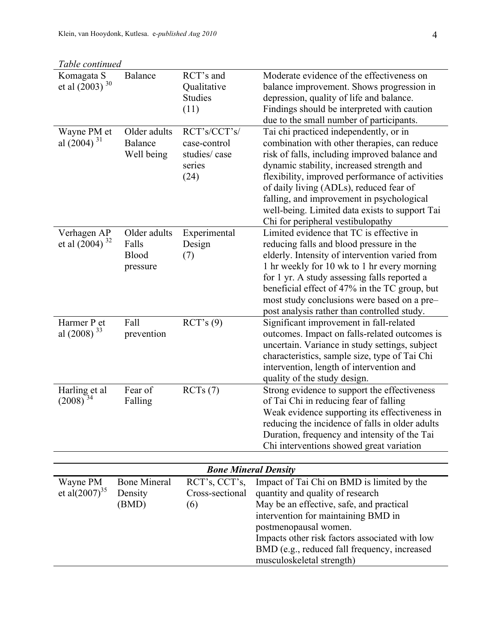| Table continued                    |                                            |                                                                |                                                                                                                                                                                                                                                                                                                                                                                                                        |
|------------------------------------|--------------------------------------------|----------------------------------------------------------------|------------------------------------------------------------------------------------------------------------------------------------------------------------------------------------------------------------------------------------------------------------------------------------------------------------------------------------------------------------------------------------------------------------------------|
| Komagata S<br>et al $(2003)^{30}$  | <b>Balance</b>                             | RCT's and<br>Qualitative<br><b>Studies</b><br>(11)             | Moderate evidence of the effectiveness on<br>balance improvement. Shows progression in<br>depression, quality of life and balance.<br>Findings should be interpreted with caution<br>due to the small number of participants.                                                                                                                                                                                          |
| Wayne PM et<br>al $(2004)^{31}$    | Older adults<br>Balance<br>Well being      | RCT's/CCT's/<br>case-control<br>studies/case<br>series<br>(24) | Tai chi practiced independently, or in<br>combination with other therapies, can reduce<br>risk of falls, including improved balance and<br>dynamic stability, increased strength and<br>flexibility, improved performance of activities<br>of daily living (ADLs), reduced fear of<br>falling, and improvement in psychological<br>well-being. Limited data exists to support Tai<br>Chi for peripheral vestibulopathy |
| Verhagen AP<br>et al $(2004)^{32}$ | Older adults<br>Falls<br>Blood<br>pressure | Experimental<br>Design<br>(7)                                  | Limited evidence that TC is effective in<br>reducing falls and blood pressure in the<br>elderly. Intensity of intervention varied from<br>1 hr weekly for 10 wk to 1 hr every morning<br>for 1 yr. A study assessing falls reported a<br>beneficial effect of 47% in the TC group, but<br>most study conclusions were based on a pre-<br>post analysis rather than controlled study.                                   |
| Harmer P et<br>al $(2008)^{33}$    | Fall<br>prevention                         | RCT's(9)                                                       | Significant improvement in fall-related<br>outcomes. Impact on falls-related outcomes is<br>uncertain. Variance in study settings, subject<br>characteristics, sample size, type of Tai Chi<br>intervention, length of intervention and<br>quality of the study design.                                                                                                                                                |
| Harling et al<br>$(2008)^{34}$     | Fear of<br>Falling                         | RCTs(7)                                                        | Strong evidence to support the effectiveness<br>of Tai Chi in reducing fear of falling<br>Weak evidence supporting its effectiveness in<br>reducing the incidence of falls in older adults<br>Duration, frequency and intensity of the Tai<br>Chi interventions showed great variation                                                                                                                                 |

| <b>Bone Mineral Density</b>     |                                         |                                         |                                                                                                                                                                                                                                                                                                                           |  |
|---------------------------------|-----------------------------------------|-----------------------------------------|---------------------------------------------------------------------------------------------------------------------------------------------------------------------------------------------------------------------------------------------------------------------------------------------------------------------------|--|
| Wayne PM<br>et al $(2007)^{35}$ | <b>Bone Mineral</b><br>Density<br>(BMD) | RCT's, CCT's,<br>Cross-sectional<br>(6) | Impact of Tai Chi on BMD is limited by the<br>quantity and quality of research<br>May be an effective, safe, and practical<br>intervention for maintaining BMD in<br>postmenopausal women.<br>Impacts other risk factors associated with low<br>BMD (e.g., reduced fall frequency, increased<br>musculoskeletal strength) |  |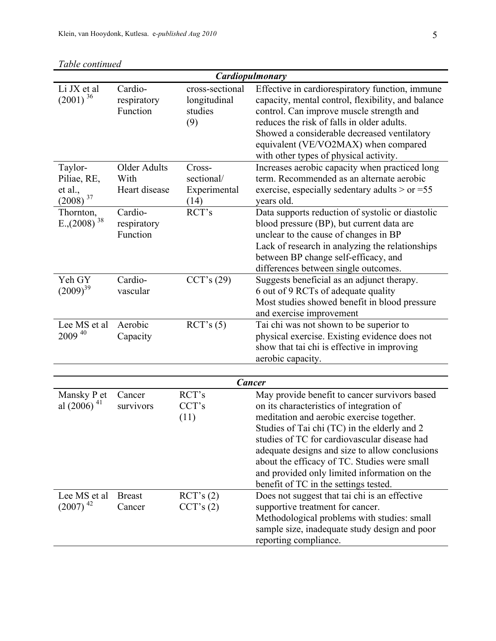| Cardiopulmonary                                      |                                              |                                                   |                                                                                                                                                                                                                                                                                                                                                                                                                                   |  |  |  |
|------------------------------------------------------|----------------------------------------------|---------------------------------------------------|-----------------------------------------------------------------------------------------------------------------------------------------------------------------------------------------------------------------------------------------------------------------------------------------------------------------------------------------------------------------------------------------------------------------------------------|--|--|--|
| Li JX et al<br>$(2001)^{36}$                         | Cardio-<br>respiratory<br>Function           | cross-sectional<br>longitudinal<br>studies<br>(9) | Effective in cardiorespiratory function, immune<br>capacity, mental control, flexibility, and balance<br>control. Can improve muscle strength and<br>reduces the risk of falls in older adults.<br>Showed a considerable decreased ventilatory<br>equivalent (VE/VO2MAX) when compared<br>with other types of physical activity.                                                                                                  |  |  |  |
| Taylor-<br>Piliae, RE,<br>et al.,<br>37<br>(2008)    | <b>Older Adults</b><br>With<br>Heart disease | Cross-<br>sectional/<br>Experimental<br>(14)      | Increases aerobic capacity when practiced long<br>term. Recommended as an alternate aerobic<br>exercise, especially sedentary adults $>$ or =55<br>years old.                                                                                                                                                                                                                                                                     |  |  |  |
| Thornton,<br>$E$ <sub>1</sub> , (2008) <sup>38</sup> | Cardio-<br>respiratory<br>Function           | RCT's                                             | Data supports reduction of systolic or diastolic<br>blood pressure (BP), but current data are<br>unclear to the cause of changes in BP<br>Lack of research in analyzing the relationships<br>between BP change self-efficacy, and<br>differences between single outcomes.                                                                                                                                                         |  |  |  |
| Yeh GY<br>$(2009)^{39}$                              | Cardio-<br>vascular                          | CCT's $(29)$                                      | Suggests beneficial as an adjunct therapy.<br>6 out of 9 RCTs of adequate quality<br>Most studies showed benefit in blood pressure<br>and exercise improvement                                                                                                                                                                                                                                                                    |  |  |  |
| Lee MS et al<br>$2009^{40}$                          | Aerobic<br>Capacity                          | $\text{RCT's}(5)$                                 | Tai chi was not shown to be superior to<br>physical exercise. Existing evidence does not<br>show that tai chi is effective in improving<br>aerobic capacity.                                                                                                                                                                                                                                                                      |  |  |  |
|                                                      |                                              |                                                   |                                                                                                                                                                                                                                                                                                                                                                                                                                   |  |  |  |
| <b>Cancer</b>                                        |                                              |                                                   |                                                                                                                                                                                                                                                                                                                                                                                                                                   |  |  |  |
| Mansky P et<br>al $(2006)^{41}$                      | Cancer<br>survivors                          | RCT's<br>CCT's<br>(11)                            | May provide benefit to cancer survivors based<br>on its characteristics of integration of<br>meditation and aerobic exercise together.<br>Studies of Tai chi (TC) in the elderly and 2<br>studies of TC for cardiovascular disease had<br>adequate designs and size to allow conclusions<br>about the efficacy of TC. Studies were small<br>and provided only limited information on the<br>benefit of TC in the settings tested. |  |  |  |
| Lee MS et al<br>$(2007)$ <sup>42</sup>               | <b>Breast</b><br>Cancer                      | $\text{RCT's (2)}$<br>CCT's (2)                   | Does not suggest that tai chi is an effective<br>supportive treatment for cancer.<br>Methodological problems with studies: small<br>sample size, inadequate study design and poor<br>reporting compliance.                                                                                                                                                                                                                        |  |  |  |

*Table continued*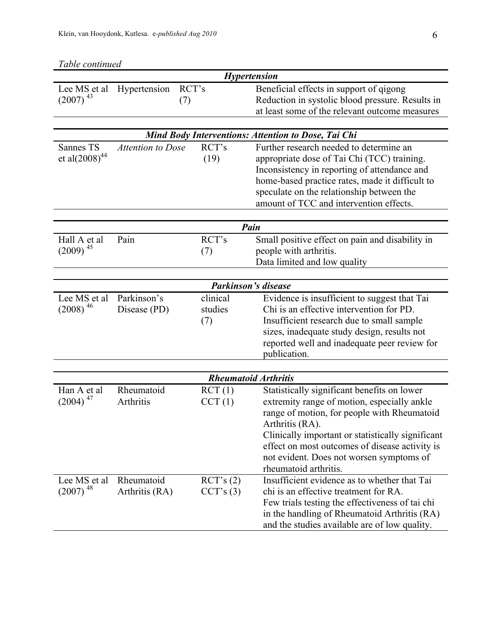| Table continued                        |                              |                       |                                                                                                                                                                                                                                                                                                                                          |  |  |
|----------------------------------------|------------------------------|-----------------------|------------------------------------------------------------------------------------------------------------------------------------------------------------------------------------------------------------------------------------------------------------------------------------------------------------------------------------------|--|--|
|                                        |                              |                       | Hypertension                                                                                                                                                                                                                                                                                                                             |  |  |
| Lee MS et al<br>$(2007)$ <sup>43</sup> | RCT's<br>Hypertension<br>(7) |                       | Beneficial effects in support of qigong<br>Reduction in systolic blood pressure. Results in<br>at least some of the relevant outcome measures                                                                                                                                                                                            |  |  |
|                                        |                              |                       |                                                                                                                                                                                                                                                                                                                                          |  |  |
|                                        |                              |                       | Mind Body Interventions: Attention to Dose, Tai Chi                                                                                                                                                                                                                                                                                      |  |  |
| Sannes TS<br>et al $(2008)^{44}$       | <b>Attention to Dose</b>     | RCT's<br>(19)         | Further research needed to determine an<br>appropriate dose of Tai Chi (TCC) training.<br>Inconsistency in reporting of attendance and<br>home-based practice rates, made it difficult to<br>speculate on the relationship between the<br>amount of TCC and intervention effects.                                                        |  |  |
|                                        |                              |                       |                                                                                                                                                                                                                                                                                                                                          |  |  |
|                                        | Pain                         |                       |                                                                                                                                                                                                                                                                                                                                          |  |  |
| Hall A et al<br>$(2009)^{45}$          | Pain                         | RCT's<br>(7)          | Small positive effect on pain and disability in<br>people with arthritis.<br>Data limited and low quality                                                                                                                                                                                                                                |  |  |
|                                        |                              |                       |                                                                                                                                                                                                                                                                                                                                          |  |  |
| Lee MS et al                           | Parkinson's                  | clinical              | <b>Parkinson's disease</b>                                                                                                                                                                                                                                                                                                               |  |  |
| $(2008)^{46}$                          | Disease (PD)                 | studies<br>(7)        | Evidence is insufficient to suggest that Tai<br>Chi is an effective intervention for PD.<br>Insufficient research due to small sample<br>sizes, inadequate study design, results not<br>reported well and inadequate peer review for<br>publication.                                                                                     |  |  |
|                                        |                              |                       |                                                                                                                                                                                                                                                                                                                                          |  |  |
|                                        |                              |                       | <b>Rheumatoid Arthritis</b>                                                                                                                                                                                                                                                                                                              |  |  |
| Han A et al<br>$(2004)^{47}$           | Rheumatoid<br>Arthritis      | RCT(1)<br>CCT(1)      | Statistically significant benefits on lower<br>extremity range of motion, especially ankle<br>range of motion, for people with Rheumatoid<br>Arthritis (RA).<br>Clinically important or statistically significant<br>effect on most outcomes of disease activity is<br>not evident. Does not worsen symptoms of<br>rheumatoid arthritis. |  |  |
| Lee MS et al<br>$(2007)$ <sup>48</sup> | Rheumatoid<br>Arthritis (RA) | RCT's(2)<br>CCT's (3) | Insufficient evidence as to whether that Tai<br>chi is an effective treatment for RA.<br>Few trials testing the effectiveness of tai chi<br>in the handling of Rheumatoid Arthritis (RA)<br>and the studies available are of low quality.                                                                                                |  |  |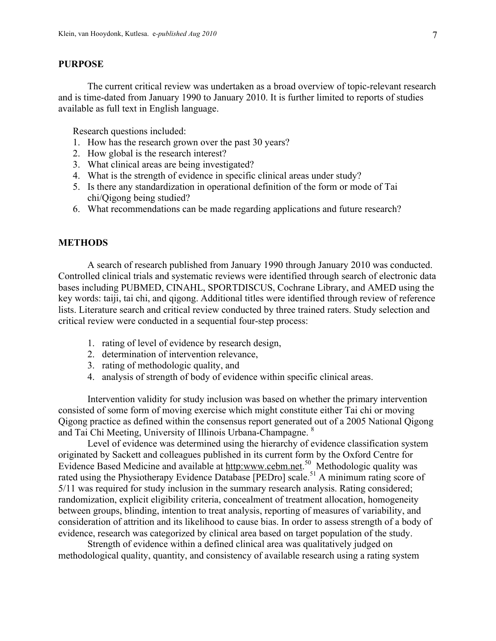### **PURPOSE**

The current critical review was undertaken as a broad overview of topic-relevant research and is time-dated from January 1990 to January 2010. It is further limited to reports of studies available as full text in English language.

Research questions included:

- 1. How has the research grown over the past 30 years?
- 2. How global is the research interest?
- 3. What clinical areas are being investigated?
- 4. What is the strength of evidence in specific clinical areas under study?
- 5. Is there any standardization in operational definition of the form or mode of Tai chi/Qigong being studied?
- 6. What recommendations can be made regarding applications and future research?

### **METHODS**

A search of research published from January 1990 through January 2010 was conducted. Controlled clinical trials and systematic reviews were identified through search of electronic data bases including PUBMED, CINAHL, SPORTDISCUS, Cochrane Library, and AMED using the key words: taiji, tai chi, and qigong. Additional titles were identified through review of reference lists. Literature search and critical review conducted by three trained raters. Study selection and critical review were conducted in a sequential four-step process:

- 1. rating of level of evidence by research design,
- 2. determination of intervention relevance,
- 3. rating of methodologic quality, and
- 4. analysis of strength of body of evidence within specific clinical areas.

Intervention validity for study inclusion was based on whether the primary intervention consisted of some form of moving exercise which might constitute either Tai chi or moving Qigong practice as defined within the consensus report generated out of a 2005 National Qigong and Tai Chi Meeting, University of Illinois Urbana-Champagne. 8

Level of evidence was determined using the hierarchy of evidence classification system originated by Sackett and colleagues published in its current form by the Oxford Centre for Evidence Based Medicine and available at http:www.cebm.net.<sup>50</sup> Methodologic quality was rated using the Physiotherapy Evidence Database [PEDro] scale.<sup>51</sup> A minimum rating score of 5/11 was required for study inclusion in the summary research analysis. Rating considered; randomization, explicit eligibility criteria, concealment of treatment allocation, homogeneity between groups, blinding, intention to treat analysis, reporting of measures of variability, and consideration of attrition and its likelihood to cause bias. In order to assess strength of a body of evidence, research was categorized by clinical area based on target population of the study.

Strength of evidence within a defined clinical area was qualitatively judged on methodological quality, quantity, and consistency of available research using a rating system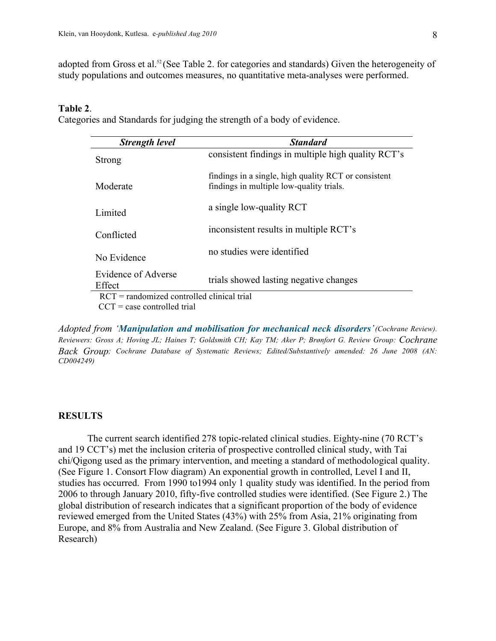adopted from Gross et al.<sup>52</sup> (See Table 2. for categories and standards) Given the heterogeneity of study populations and outcomes measures, no quantitative meta-analyses were performed.

## **Table 2**.

Categories and Standards for judging the strength of a body of evidence.

| <b>Strength level</b>                        | <b>Standard</b>                                                                                  |
|----------------------------------------------|--------------------------------------------------------------------------------------------------|
| <b>Strong</b>                                | consistent findings in multiple high quality RCT's                                               |
| Moderate                                     | findings in a single, high quality RCT or consistent<br>findings in multiple low-quality trials. |
| Limited                                      | a single low-quality RCT                                                                         |
| Conflicted                                   | inconsistent results in multiple RCT's                                                           |
| No Evidence                                  | no studies were identified                                                                       |
| Evidence of Adverse<br>Effect                | trials showed lasting negative changes                                                           |
| $RCT = randomized controlled clinical trial$ |                                                                                                  |
| $CCT = case$ controlled trial                |                                                                                                  |

*Adopted from 'Manipulation and mobilisation for mechanical neck disorders'(Cochrane Review). Reviewers: Gross A; Hoving JL; Haines T; Goldsmith CH; Kay TM; Aker P; Brønfort G. Review Group: Cochrane Back Group; Cochrane Database of Systematic Reviews; Edited/Substantively amended: 26 June 2008 (AN: CD004249)* 

#### **RESULTS**

The current search identified 278 topic-related clinical studies. Eighty-nine (70 RCT's and 19 CCT's) met the inclusion criteria of prospective controlled clinical study, with Tai chi/Qigong used as the primary intervention, and meeting a standard of methodological quality. (See Figure 1. Consort Flow diagram) An exponential growth in controlled, Level I and II, studies has occurred. From 1990 to1994 only 1 quality study was identified. In the period from 2006 to through January 2010, fifty-five controlled studies were identified. (See Figure 2.) The global distribution of research indicates that a significant proportion of the body of evidence reviewed emerged from the United States (43%) with 25% from Asia, 21% originating from Europe, and 8% from Australia and New Zealand. (See Figure 3. Global distribution of Research)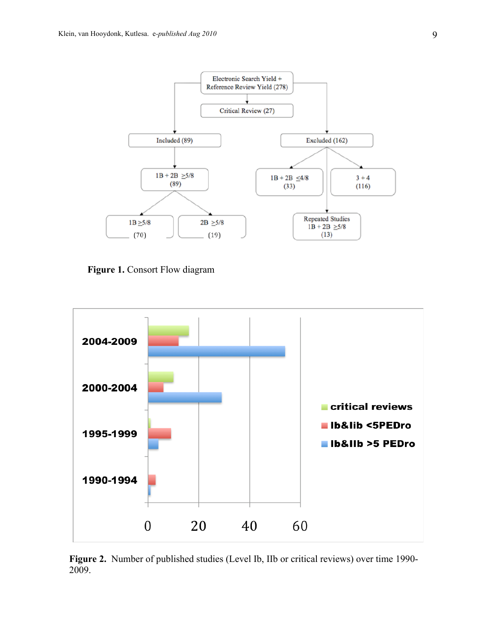

**Figure 1.** Consort Flow diagram



**Figure 2.** Number of published studies (Level Ib, IIb or critical reviews) over time 1990- 2009.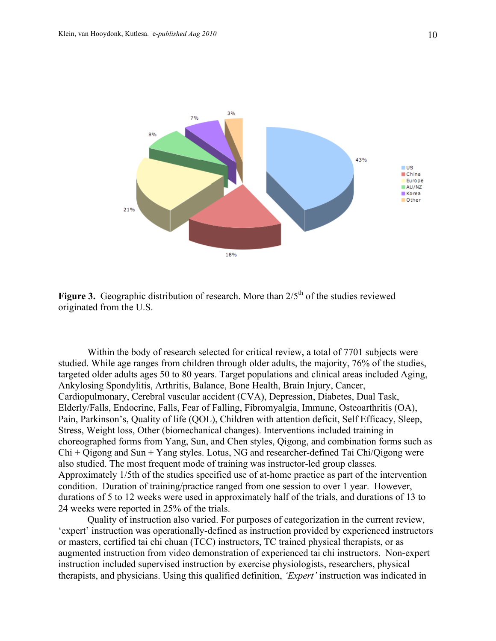

**Figure 3.** Geographic distribution of research. More than  $2/5<sup>th</sup>$  of the studies reviewed originated from the U.S.

Within the body of research selected for critical review, a total of 7701 subjects were studied. While age ranges from children through older adults, the majority, 76% of the studies, targeted older adults ages 50 to 80 years. Target populations and clinical areas included Aging, Ankylosing Spondylitis, Arthritis, Balance, Bone Health, Brain Injury, Cancer, Cardiopulmonary, Cerebral vascular accident (CVA), Depression, Diabetes, Dual Task, Elderly/Falls, Endocrine, Falls, Fear of Falling, Fibromyalgia, Immune, Osteoarthritis (OA), Pain, Parkinson's, Quality of life (QOL), Children with attention deficit, Self Efficacy, Sleep, Stress, Weight loss, Other (biomechanical changes). Interventions included training in choreographed forms from Yang, Sun, and Chen styles, Qigong, and combination forms such as Chi + Qigong and Sun + Yang styles. Lotus, NG and researcher-defined Tai Chi/Qigong were also studied. The most frequent mode of training was instructor-led group classes. Approximately 1/5th of the studies specified use of at-home practice as part of the intervention condition. Duration of training/practice ranged from one session to over 1 year. However, durations of 5 to 12 weeks were used in approximately half of the trials, and durations of 13 to 24 weeks were reported in 25% of the trials.

Quality of instruction also varied. For purposes of categorization in the current review, 'expert' instruction was operationally-defined as instruction provided by experienced instructors or masters, certified tai chi chuan (TCC) instructors, TC trained physical therapists, or as augmented instruction from video demonstration of experienced tai chi instructors. Non-expert instruction included supervised instruction by exercise physiologists, researchers, physical therapists, and physicians. Using this qualified definition, *'Expert'* instruction was indicated in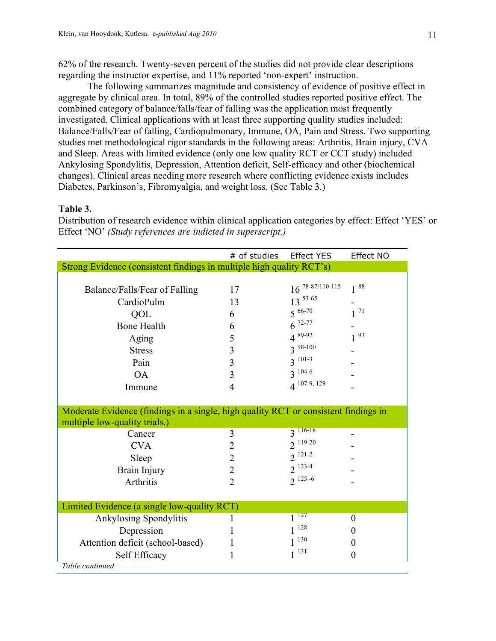62% of the research. Twenty-seven percent of the studies did not provide clear descriptions regarding the instructor expertise, and 11% reported 'non-expert' instruction.

The following summarizes magnitude and consistency of evidence of positive effect in aggregate by clinical area. In total, 89% of the controlled studies reported positive effect. The combined category of balance/falls/fear of falling was the application most frequently investigated. Clinical applications with at least three supporting quality studies included: Balance/Falls/Fear of falling, Cardiopulmonary, Immune, OA, Pain and Stress. Two supporting studies met methodological rigor standards in the following areas: Arthritis, Brain injury, CVA and Sleep. Areas with limited evidence (only one low quality RCT or CCT study) included Ankylosing Spondylitis, Depression, Attention deficit, Self-efficacy and other (biochemical changes). Clinical areas needing more research where conflicting evidence exists includes Diabetes, Parkinson's, Fibromyalgia, and weight loss. (See Table 3.)

## **Table 3.**

Distribution of research evidence within clinical application categories by effect: Effect 'YES' or Effect 'NO' *(Study references are indicted in superscript.)*

|                                                                                     | # of studies   | <b>Effect YES</b>    | Effect NO |  |  |
|-------------------------------------------------------------------------------------|----------------|----------------------|-----------|--|--|
| Strong Evidence (consistent findings in multiple high quality RCT's)                |                |                      |           |  |  |
|                                                                                     |                |                      |           |  |  |
| Balance/Falls/Fear of Falling                                                       | 17             | $16^{78-87/110-115}$ | $1^{88}$  |  |  |
| CardioPulm                                                                          | 13             | $13^{53-65}$         |           |  |  |
| QOL                                                                                 | 6              | $5^{66-70}$          | 71        |  |  |
| <b>Bone Health</b>                                                                  | 6              | $6^{72-77}$          |           |  |  |
| Aging                                                                               | 5              | $4^{89-92}$          | $1^{93}$  |  |  |
| <b>Stress</b>                                                                       | 3              | $3^{98-100}$         |           |  |  |
| Pain                                                                                | 3              | $3^{101-3}$          |           |  |  |
| <b>OA</b>                                                                           | 3              | $3^{104-6}$          |           |  |  |
| Immune                                                                              | $\overline{4}$ | 4 107-9, 129         |           |  |  |
|                                                                                     |                |                      |           |  |  |
| Moderate Evidence (findings in a single, high quality RCT or consistent findings in |                |                      |           |  |  |
| multiple low-quality trials.)                                                       |                |                      |           |  |  |
| Cancer                                                                              | 3              | $3\sqrt{116-18}$     |           |  |  |
| <b>CVA</b>                                                                          | $\overline{2}$ | $2^{119-20}$         |           |  |  |
| Sleep                                                                               | $\overline{2}$ | $2^{121-2}$          |           |  |  |
| Brain Injury                                                                        | $\overline{2}$ | $2^{123-4}$          |           |  |  |
| Arthritis                                                                           | $\overline{2}$ | $2^{125-6}$          |           |  |  |
|                                                                                     |                |                      |           |  |  |
| Limited Evidence (a single low-quality RCT)                                         |                |                      |           |  |  |
| Ankylosing Spondylitis                                                              |                | 127                  | $\theta$  |  |  |
| Depression                                                                          |                | 128                  | 0         |  |  |
| Attention deficit (school-based)                                                    |                | $1^{130}$            | 0         |  |  |
| Self Efficacy                                                                       |                | 131                  | 0         |  |  |
| Table continued                                                                     |                |                      |           |  |  |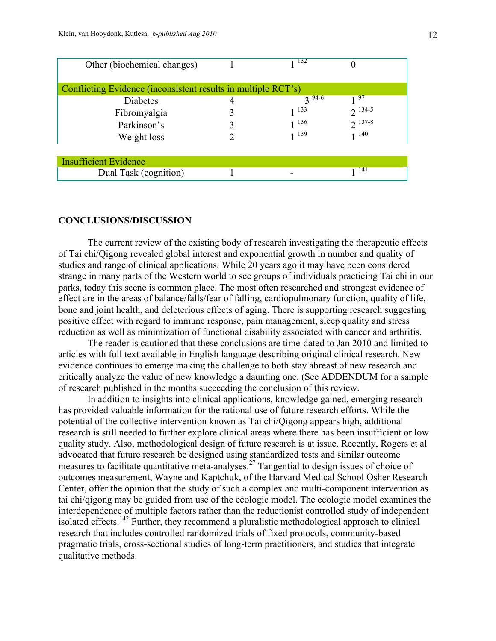| Other (biochemical changes)                                   |  | 132        |             |  |  |  |  |
|---------------------------------------------------------------|--|------------|-------------|--|--|--|--|
| Conflicting Evidence (inconsistent results in multiple RCT's) |  |            |             |  |  |  |  |
| Diabetes                                                      |  | $3^{94-6}$ | 97          |  |  |  |  |
| Fibromyalgia                                                  |  | 133        | $2^{134-5}$ |  |  |  |  |
| Parkinson's                                                   |  | 136        | $2^{137-8}$ |  |  |  |  |
| Weight loss                                                   |  | 1 139      | 140         |  |  |  |  |
|                                                               |  |            |             |  |  |  |  |
| <b>Insufficient Evidence</b>                                  |  |            |             |  |  |  |  |
| Dual Task (cognition)                                         |  |            | 141         |  |  |  |  |

### **CONCLUSIONS/DISCUSSION**

The current review of the existing body of research investigating the therapeutic effects of Tai chi/Qigong revealed global interest and exponential growth in number and quality of studies and range of clinical applications. While 20 years ago it may have been considered strange in many parts of the Western world to see groups of individuals practicing Tai chi in our parks, today this scene is common place. The most often researched and strongest evidence of effect are in the areas of balance/falls/fear of falling, cardiopulmonary function, quality of life, bone and joint health, and deleterious effects of aging. There is supporting research suggesting positive effect with regard to immune response, pain management, sleep quality and stress reduction as well as minimization of functional disability associated with cancer and arthritis.

The reader is cautioned that these conclusions are time-dated to Jan 2010 and limited to articles with full text available in English language describing original clinical research. New evidence continues to emerge making the challenge to both stay abreast of new research and critically analyze the value of new knowledge a daunting one. (See ADDENDUM for a sample of research published in the months succeeding the conclusion of this review.

In addition to insights into clinical applications, knowledge gained, emerging research has provided valuable information for the rational use of future research efforts. While the potential of the collective intervention known as Tai chi/Qigong appears high, additional research is still needed to further explore clinical areas where there has been insufficient or low quality study. Also, methodological design of future research is at issue. Recently, Rogers et al advocated that future research be designed using standardized tests and similar outcome measures to facilitate quantitative meta-analyses.<sup>27</sup> Tangential to design issues of choice of outcomes measurement, Wayne and Kaptchuk, of the Harvard Medical School Osher Research Center, offer the opinion that the study of such a complex and multi-component intervention as tai chi/qigong may be guided from use of the ecologic model. The ecologic model examines the interdependence of multiple factors rather than the reductionist controlled study of independent isolated effects.<sup>142</sup> Further, they recommend a pluralistic methodological approach to clinical research that includes controlled randomized trials of fixed protocols, community-based pragmatic trials, cross-sectional studies of long-term practitioners, and studies that integrate qualitative methods.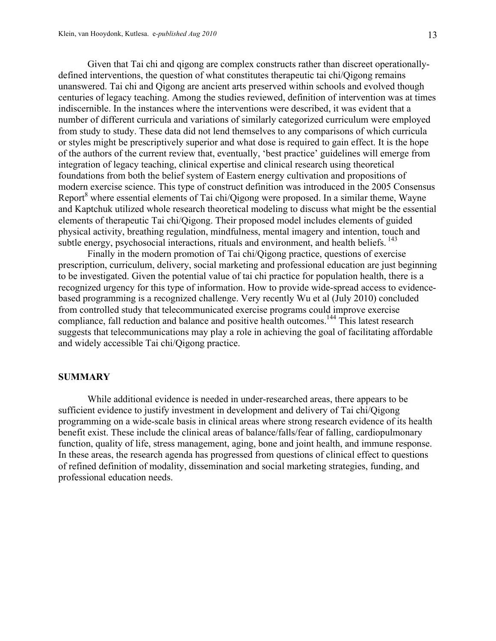Given that Tai chi and qigong are complex constructs rather than discreet operationallydefined interventions, the question of what constitutes therapeutic tai chi/Qigong remains unanswered. Tai chi and Qigong are ancient arts preserved within schools and evolved though centuries of legacy teaching. Among the studies reviewed, definition of intervention was at times indiscernible. In the instances where the interventions were described, it was evident that a number of different curricula and variations of similarly categorized curriculum were employed from study to study. These data did not lend themselves to any comparisons of which curricula or styles might be prescriptively superior and what dose is required to gain effect. It is the hope of the authors of the current review that, eventually, 'best practice' guidelines will emerge from integration of legacy teaching, clinical expertise and clinical research using theoretical foundations from both the belief system of Eastern energy cultivation and propositions of modern exercise science. This type of construct definition was introduced in the 2005 Consensus Report $^8$  where essential elements of Tai chi/Qigong were proposed. In a similar theme, Wayne and Kaptchuk utilized whole research theoretical modeling to discuss what might be the essential elements of therapeutic Tai chi/Qigong. Their proposed model includes elements of guided physical activity, breathing regulation, mindfulness, mental imagery and intention, touch and subtle energy, psychosocial interactions, rituals and environment, and health beliefs.  $^{143}$ 

Finally in the modern promotion of Tai chi/Qigong practice, questions of exercise prescription, curriculum, delivery, social marketing and professional education are just beginning to be investigated. Given the potential value of tai chi practice for population health, there is a recognized urgency for this type of information. How to provide wide-spread access to evidencebased programming is a recognized challenge. Very recently Wu et al (July 2010) concluded from controlled study that telecommunicated exercise programs could improve exercise compliance, fall reduction and balance and positive health outcomes.<sup>144</sup> This latest research suggests that telecommunications may play a role in achieving the goal of facilitating affordable and widely accessible Tai chi/Qigong practice.

#### **SUMMARY**

While additional evidence is needed in under-researched areas, there appears to be sufficient evidence to justify investment in development and delivery of Tai chi/Qigong programming on a wide-scale basis in clinical areas where strong research evidence of its health benefit exist. These include the clinical areas of balance/falls/fear of falling, cardiopulmonary function, quality of life, stress management, aging, bone and joint health, and immune response. In these areas, the research agenda has progressed from questions of clinical effect to questions of refined definition of modality, dissemination and social marketing strategies, funding, and professional education needs.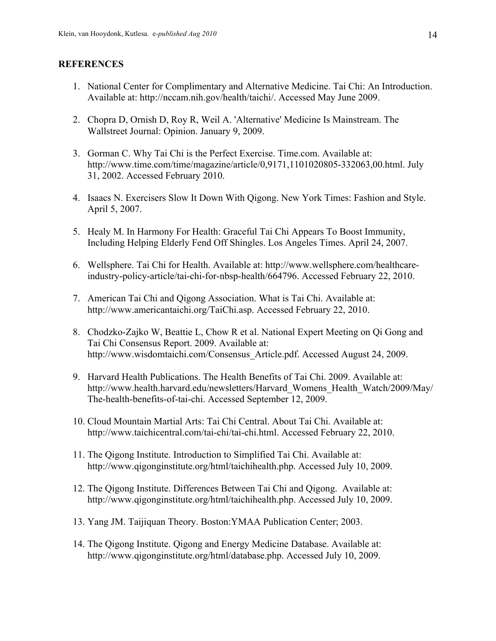### **REFERENCES**

- 1. National Center for Complimentary and Alternative Medicine. Tai Chi: An Introduction. Available at: http://nccam.nih.gov/health/taichi/. Accessed May June 2009.
- 2. Chopra D, Ornish D, Roy R, Weil A. 'Alternative' Medicine Is Mainstream. The Wallstreet Journal: Opinion. January 9, 2009.
- 3. Gorman C. Why Tai Chi is the Perfect Exercise. Time.com. Available at: http://www.time.com/time/magazine/article/0,9171,1101020805-332063,00.html. July 31, 2002. Accessed February 2010.
- 4. Isaacs N. Exercisers Slow It Down With Qigong. New York Times: Fashion and Style. April 5, 2007.
- 5. Healy M. In Harmony For Health: Graceful Tai Chi Appears To Boost Immunity, Including Helping Elderly Fend Off Shingles. Los Angeles Times. April 24, 2007.
- 6. Wellsphere. Tai Chi for Health. Available at: http://www.wellsphere.com/healthcareindustry-policy-article/tai-chi-for-nbsp-health/664796. Accessed February 22, 2010.
- 7. American Tai Chi and Qigong Association. What is Tai Chi. Available at: http://www.americantaichi.org/TaiChi.asp. Accessed February 22, 2010.
- 8. Chodzko-Zajko W, Beattie L, Chow R et al. National Expert Meeting on Qi Gong and Tai Chi Consensus Report. 2009. Available at: http://www.wisdomtaichi.com/Consensus\_Article.pdf. Accessed August 24, 2009.
- 9. Harvard Health Publications. The Health Benefits of Tai Chi. 2009. Available at: http://www.health.harvard.edu/newsletters/Harvard\_Womens\_Health\_Watch/2009/May/ The-health-benefits-of-tai-chi. Accessed September 12, 2009.
- 10. Cloud Mountain Martial Arts: Tai Chi Central. About Tai Chi. Available at: http://www.taichicentral.com/tai-chi/tai-chi.html. Accessed February 22, 2010.
- 11. The Qigong Institute. Introduction to Simplified Tai Chi. Available at: http://www.qigonginstitute.org/html/taichihealth.php. Accessed July 10, 2009.
- 12. The Qigong Institute. Differences Between Tai Chi and Qigong. Available at: http://www.qigonginstitute.org/html/taichihealth.php. Accessed July 10, 2009.
- 13. Yang JM. Taijiquan Theory. Boston:YMAA Publication Center; 2003.
- 14. The Qigong Institute. Qigong and Energy Medicine Database. Available at: http://www.qigonginstitute.org/html/database.php. Accessed July 10, 2009.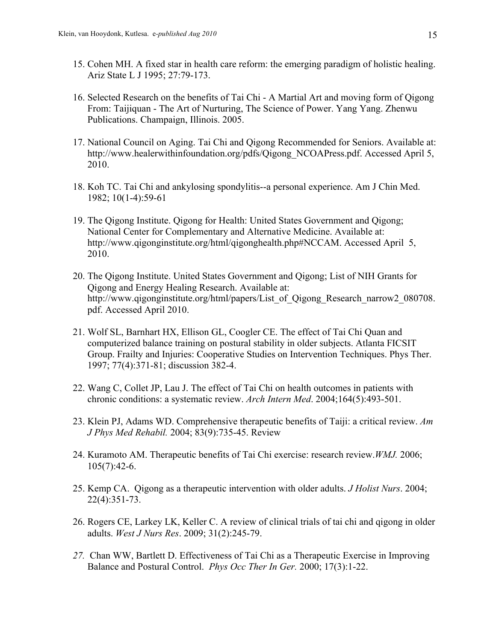- 15. Cohen MH. A fixed star in health care reform: the emerging paradigm of holistic healing. Ariz State L J 1995; 27:79-173.
- 16. Selected Research on the benefits of Tai Chi A Martial Art and moving form of Qigong From: Taijiquan - The Art of Nurturing, The Science of Power. Yang Yang. Zhenwu Publications. Champaign, Illinois. 2005.
- 17. National Council on Aging. Tai Chi and Qigong Recommended for Seniors. Available at: http://www.healerwithinfoundation.org/pdfs/Qigong\_NCOAPress.pdf. Accessed April 5, 2010.
- 18. Koh TC. Tai Chi and ankylosing spondylitis--a personal experience. Am J Chin Med. 1982; 10(1-4):59-61
- 19. The Qigong Institute. Qigong for Health: United States Government and Qigong; National Center for Complementary and Alternative Medicine. Available at: http://www.qigonginstitute.org/html/qigonghealth.php#NCCAM. Accessed April 5, 2010.
- 20. The Qigong Institute. United States Government and Qigong; List of NIH Grants for Qigong and Energy Healing Research. Available at: http://www.qigonginstitute.org/html/papers/List of Qigong Research narrow2 080708. pdf. Accessed April 2010.
- 21. Wolf SL, Barnhart HX, Ellison GL, Coogler CE. The effect of Tai Chi Quan and computerized balance training on postural stability in older subjects. Atlanta FICSIT Group. Frailty and Injuries: Cooperative Studies on Intervention Techniques. Phys Ther. 1997; 77(4):371-81; discussion 382-4.
- 22. Wang C, Collet JP, Lau J. The effect of Tai Chi on health outcomes in patients with chronic conditions: a systematic review. *Arch Intern Med*. 2004;164(5):493-501.
- 23. Klein PJ, Adams WD. Comprehensive therapeutic benefits of Taiji: a critical review. *Am J Phys Med Rehabil.* 2004; 83(9):735-45. Review
- 24. Kuramoto AM. Therapeutic benefits of Tai Chi exercise: research review.*WMJ.* 2006; 105(7):42-6.
- 25. Kemp CA. Qigong as a therapeutic intervention with older adults. *J Holist Nurs*. 2004; 22(4):351-73.
- 26. Rogers CE, Larkey LK, Keller C. A review of clinical trials of tai chi and qigong in older adults. *West J Nurs Res*. 2009; 31(2):245-79.
- *27.* Chan WW, Bartlett D. Effectiveness of Tai Chi as a Therapeutic Exercise in Improving Balance and Postural Control. *Phys Occ Ther In Ger.* 2000; 17(3):1-22.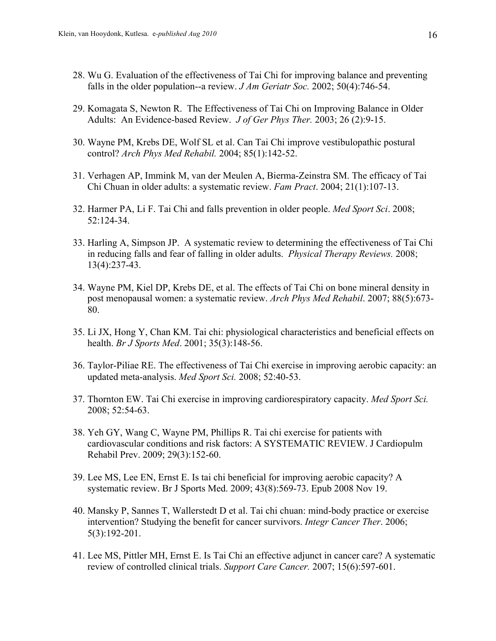- 28. Wu G. Evaluation of the effectiveness of Tai Chi for improving balance and preventing falls in the older population--a review. *J Am Geriatr Soc.* 2002; 50(4):746-54.
- 29. Komagata S, Newton R. The Effectiveness of Tai Chi on Improving Balance in Older Adults: An Evidence-based Review. *J of Ger Phys Ther.* 2003; 26 (2):9-15.
- 30. Wayne PM, Krebs DE, Wolf SL et al. Can Tai Chi improve vestibulopathic postural control? *Arch Phys Med Rehabil.* 2004; 85(1):142-52.
- 31. Verhagen AP, Immink M, van der Meulen A, Bierma-Zeinstra SM. The efficacy of Tai Chi Chuan in older adults: a systematic review. *Fam Pract*. 2004; 21(1):107-13.
- 32. Harmer PA, Li F. Tai Chi and falls prevention in older people. *Med Sport Sci*. 2008; 52:124-34.
- 33. Harling A, Simpson JP. A systematic review to determining the effectiveness of Tai Chi in reducing falls and fear of falling in older adults. *Physical Therapy Reviews.* 2008; 13(4):237-43.
- 34. Wayne PM, Kiel DP, Krebs DE, et al. The effects of Tai Chi on bone mineral density in post menopausal women: a systematic review. *Arch Phys Med Rehabil*. 2007; 88(5):673- 80.
- 35. Li JX, Hong Y, Chan KM. Tai chi: physiological characteristics and beneficial effects on health. *Br J Sports Med*. 2001; 35(3):148-56.
- 36. Taylor-Piliae RE. The effectiveness of Tai Chi exercise in improving aerobic capacity: an updated meta-analysis. *Med Sport Sci.* 2008; 52:40-53.
- 37. Thornton EW. Tai Chi exercise in improving cardiorespiratory capacity. *Med Sport Sci.* 2008; 52:54-63.
- 38. Yeh GY, Wang C, Wayne PM, Phillips R. Tai chi exercise for patients with cardiovascular conditions and risk factors: A SYSTEMATIC REVIEW. J Cardiopulm Rehabil Prev. 2009; 29(3):152-60.
- 39. Lee MS, Lee EN, Ernst E. Is tai chi beneficial for improving aerobic capacity? A systematic review. Br J Sports Med. 2009; 43(8):569-73. Epub 2008 Nov 19.
- 40. Mansky P, Sannes T, Wallerstedt D et al. Tai chi chuan: mind-body practice or exercise intervention? Studying the benefit for cancer survivors. *Integr Cancer Ther*. 2006; 5(3):192-201.
- 41. Lee MS, Pittler MH, Ernst E. Is Tai Chi an effective adjunct in cancer care? A systematic review of controlled clinical trials. *Support Care Cancer.* 2007; 15(6):597-601.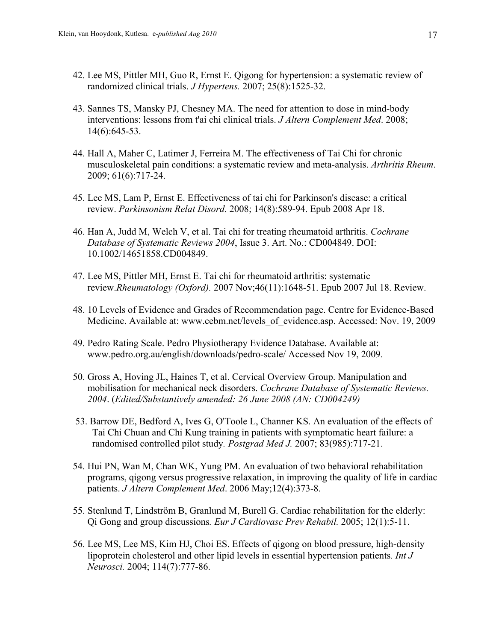- 42. Lee MS, Pittler MH, Guo R, Ernst E. Qigong for hypertension: a systematic review of randomized clinical trials. *J Hypertens.* 2007; 25(8):1525-32.
- 43. Sannes TS, Mansky PJ, Chesney MA. The need for attention to dose in mind-body interventions: lessons from t'ai chi clinical trials. *J Altern Complement Med*. 2008; 14(6):645-53.
- 44. Hall A, Maher C, Latimer J, Ferreira M. The effectiveness of Tai Chi for chronic musculoskeletal pain conditions: a systematic review and meta-analysis. *Arthritis Rheum*. 2009; 61(6):717-24.
- 45. Lee MS, Lam P, Ernst E. Effectiveness of tai chi for Parkinson's disease: a critical review. *Parkinsonism Relat Disord*. 2008; 14(8):589-94. Epub 2008 Apr 18.
- 46. Han A, Judd M, Welch V, et al. Tai chi for treating rheumatoid arthritis. *Cochrane Database of Systematic Reviews 2004*, Issue 3. Art. No.: CD004849. DOI: 10.1002/14651858.CD004849.
- 47. Lee MS, Pittler MH, Ernst E. Tai chi for rheumatoid arthritis: systematic review.*Rheumatology (Oxford).* 2007 Nov;46(11):1648-51. Epub 2007 Jul 18. Review.
- 48. 10 Levels of Evidence and Grades of Recommendation page. Centre for Evidence-Based Medicine. Available at: www.cebm.net/levels\_of\_evidence.asp. Accessed: Nov. 19, 2009
- 49. Pedro Rating Scale. Pedro Physiotherapy Evidence Database. Available at: www.pedro.org.au/english/downloads/pedro-scale/ Accessed Nov 19, 2009.
- 50. Gross A, Hoving JL, Haines T, et al. Cervical Overview Group. Manipulation and mobilisation for mechanical neck disorders. *Cochrane Database of Systematic Reviews. 2004*. (*Edited/Substantively amended: 26 June 2008 (AN: CD004249)*
- 53. Barrow DE, Bedford A, Ives G, O'Toole L, Channer KS. An evaluation of the effects of Tai Chi Chuan and Chi Kung training in patients with symptomatic heart failure: a randomised controlled pilot study*. Postgrad Med J.* 2007; 83(985):717-21.
- 54. Hui PN, Wan M, Chan WK, Yung PM. An evaluation of two behavioral rehabilitation programs, qigong versus progressive relaxation, in improving the quality of life in cardiac patients. *J Altern Complement Med*. 2006 May;12(4):373-8.
- 55. Stenlund T, Lindström B, Granlund M, Burell G. Cardiac rehabilitation for the elderly: Qi Gong and group discussions*. Eur J Cardiovasc Prev Rehabil.* 2005; 12(1):5-11.
- 56. Lee MS, Lee MS, Kim HJ, Choi ES. Effects of qigong on blood pressure, high-density lipoprotein cholesterol and other lipid levels in essential hypertension patients*. Int J Neurosci.* 2004; 114(7):777-86.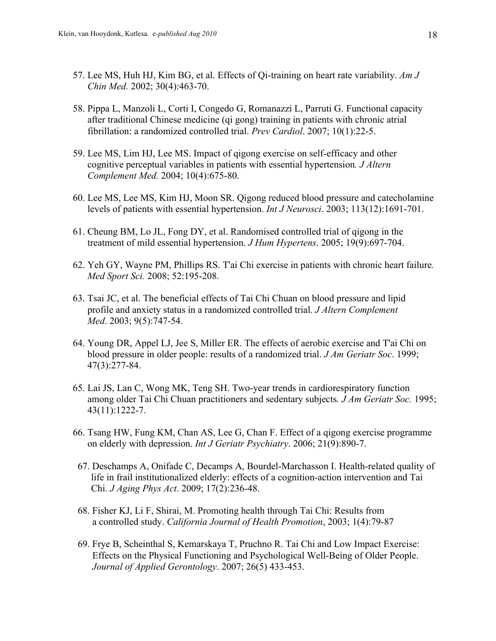- 57. Lee MS, Huh HJ, Kim BG, et al. Effects of Qi-training on heart rate variability. *Am J Chin Med.* 2002; 30(4):463-70.
- 58. Pippa L, Manzoli L, Corti I, Congedo G, Romanazzi L, Parruti G. Functional capacity after traditional Chinese medicine (qi gong) training in patients with chronic atrial fibrillation: a randomized controlled trial. *Prev Cardiol*. 2007; 10(1):22-5.
- 59. Lee MS, Lim HJ, Lee MS. Impact of qigong exercise on self-efficacy and other cognitive perceptual variables in patients with essential hypertension*. J Altern Complement Med.* 2004; 10(4):675-80.
- 60. Lee MS, Lee MS, Kim HJ, Moon SR. Qigong reduced blood pressure and catecholamine levels of patients with essential hypertension. *Int J Neurosci*. 2003; 113(12):1691-701.
- 61. Cheung BM, Lo JL, Fong DY, et al. Randomised controlled trial of qigong in the treatment of mild essential hypertension. *J Hum Hypertens*. 2005; 19(9):697-704.
- 62. Yeh GY, Wayne PM, Phillips RS. T'ai Chi exercise in patients with chronic heart failure*. Med Sport Sci.* 2008; 52:195-208.
- 63. Tsai JC, et al. The beneficial effects of Tai Chi Chuan on blood pressure and lipid profile and anxiety status in a randomized controlled trial. *J Altern Complement Med*. 2003; 9(5):747-54.
- 64. Young DR, Appel LJ, Jee S, Miller ER. The effects of aerobic exercise and T'ai Chi on blood pressure in older people: results of a randomized trial. *J Am Geriatr Soc*. 1999; 47(3):277-84.
- 65. Lai JS, Lan C, Wong MK, Teng SH. Two-year trends in cardiorespiratory function among older Tai Chi Chuan practitioners and sedentary subjects*. J Am Geriatr Soc.* 1995; 43(11):1222-7.
- 66. Tsang HW, Fung KM, Chan AS, Lee G, Chan F. Effect of a qigong exercise programme on elderly with depression. *Int J Geriatr Psychiatry*. 2006; 21(9):890-7.
- 67. Deschamps A, Onifade C, Decamps A, Bourdel-Marchasson I. Health-related quality of life in frail institutionalized elderly: effects of a cognition-action intervention and Tai Chi. *J Aging Phys Act*. 2009; 17(2):236-48.
- 68. Fisher KJ, Li F, Shirai, M. Promoting health through Tai Chi: Results from a controlled study. *California Journal of Health Promotion*, 2003; 1(4):79-87
- 69. Frye B, Scheinthal S, Kemarskaya T, Pruchno R. Tai Chi and Low Impact Exercise: Effects on the Physical Functioning and Psychological Well-Being of Older People. *Journal of Applied Gerontology*. 2007; 26(5) 433-453.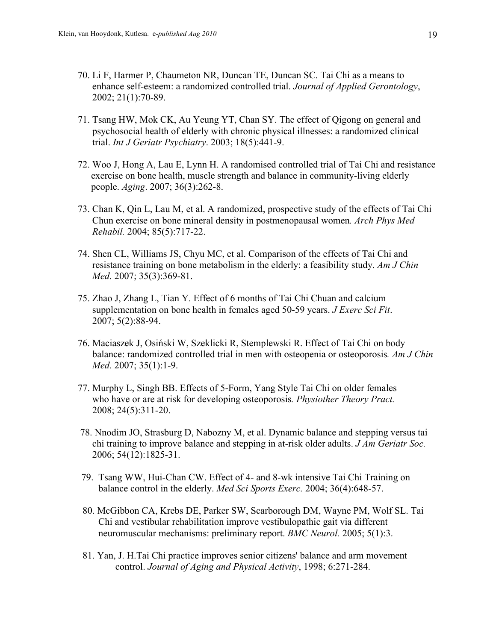- 70. Li F, Harmer P, Chaumeton NR, Duncan TE, Duncan SC. Tai Chi as a means to enhance self-esteem: a randomized controlled trial. *Journal of Applied Gerontology*, 2002; 21(1):70-89.
- 71. Tsang HW, Mok CK, Au Yeung YT, Chan SY. The effect of Qigong on general and psychosocial health of elderly with chronic physical illnesses: a randomized clinical trial. *Int J Geriatr Psychiatry*. 2003; 18(5):441-9.
- 72. Woo J, Hong A, Lau E, Lynn H. A randomised controlled trial of Tai Chi and resistance exercise on bone health, muscle strength and balance in community-living elderly people. *Aging*. 2007; 36(3):262-8.
- 73. Chan K, Qin L, Lau M, et al. A randomized, prospective study of the effects of Tai Chi Chun exercise on bone mineral density in postmenopausal women*. Arch Phys Med Rehabil.* 2004; 85(5):717-22.
- 74. Shen CL, Williams JS, Chyu MC, et al. Comparison of the effects of Tai Chi and resistance training on bone metabolism in the elderly: a feasibility study. *Am J Chin Med.* 2007; 35(3):369-81.
- 75. Zhao J, Zhang L, Tian Y. Effect of 6 months of Tai Chi Chuan and calcium supplementation on bone health in females aged 50-59 years. *J Exerc Sci Fit*. 2007; 5(2):88-94.
- 76. Maciaszek J, Osiński W, Szeklicki R, Stemplewski R. Effect of Tai Chi on body balance: randomized controlled trial in men with osteopenia or osteoporosis*. Am J Chin Med.* 2007; 35(1):1-9.
- 77. Murphy L, Singh BB. Effects of 5-Form, Yang Style Tai Chi on older females who have or are at risk for developing osteoporosis*. Physiother Theory Pract.* 2008; 24(5):311-20.
- 78. Nnodim JO, Strasburg D, Nabozny M, et al. Dynamic balance and stepping versus tai chi training to improve balance and stepping in at-risk older adults. *J Am Geriatr Soc.* 2006; 54(12):1825-31.
- 79. Tsang WW, Hui-Chan CW. Effect of 4- and 8-wk intensive Tai Chi Training on balance control in the elderly. *Med Sci Sports Exerc.* 2004; 36(4):648-57.
- 80. McGibbon CA, Krebs DE, Parker SW, Scarborough DM, Wayne PM, Wolf SL. Tai Chi and vestibular rehabilitation improve vestibulopathic gait via different neuromuscular mechanisms: preliminary report. *BMC Neurol.* 2005; 5(1):3.
- 81. Yan, J. H.Tai Chi practice improves senior citizens' balance and arm movement control. *Journal of Aging and Physical Activity*, 1998; 6:271-284.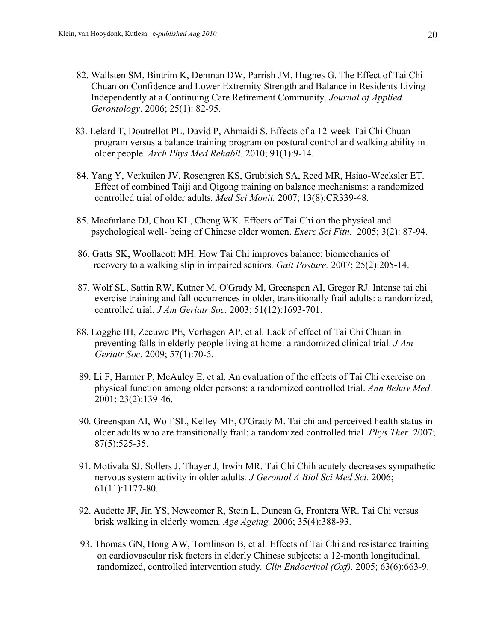- 82. Wallsten SM, Bintrim K, Denman DW, Parrish JM, Hughes G. The Effect of Tai Chi Chuan on Confidence and Lower Extremity Strength and Balance in Residents Living Independently at a Continuing Care Retirement Community. *Journal of Applied Gerontology*. 2006; 25(1): 82-95.
- 83. Lelard T, Doutrellot PL, David P, Ahmaidi S. Effects of a 12-week Tai Chi Chuan program versus a balance training program on postural control and walking ability in older people*. Arch Phys Med Rehabil.* 2010; 91(1):9-14.
- 84. Yang Y, Verkuilen JV, Rosengren KS, Grubisich SA, Reed MR, Hsiao-Wecksler ET. Effect of combined Taiji and Qigong training on balance mechanisms: a randomized controlled trial of older adults*. Med Sci Monit.* 2007; 13(8):CR339-48.
- 85. Macfarlane DJ, Chou KL, Cheng WK. Effects of Tai Chi on the physical and psychological well- being of Chinese older women. *Exerc Sci Fitn.* 2005; 3(2): 87-94.
- 86. Gatts SK, Woollacott MH. How Tai Chi improves balance: biomechanics of recovery to a walking slip in impaired seniors*. Gait Posture.* 2007; 25(2):205-14.
- 87. Wolf SL, Sattin RW, Kutner M, O'Grady M, Greenspan AI, Gregor RJ. Intense tai chi exercise training and fall occurrences in older, transitionally frail adults: a randomized, controlled trial. *J Am Geriatr Soc.* 2003; 51(12):1693-701.
- 88. Logghe IH, Zeeuwe PE, Verhagen AP, et al. Lack of effect of Tai Chi Chuan in preventing falls in elderly people living at home: a randomized clinical trial. *J Am Geriatr Soc*. 2009; 57(1):70-5.
- 89. Li F, Harmer P, McAuley E, et al. An evaluation of the effects of Tai Chi exercise on physical function among older persons: a randomized controlled trial. *Ann Behav Med*. 2001; 23(2):139-46.
- 90. Greenspan AI, Wolf SL, Kelley ME, O'Grady M. Tai chi and perceived health status in older adults who are transitionally frail: a randomized controlled trial. *Phys Ther.* 2007; 87(5):525-35.
- 91. Motivala SJ, Sollers J, Thayer J, Irwin MR. Tai Chi Chih acutely decreases sympathetic nervous system activity in older adults*. J Gerontol A Biol Sci Med Sci.* 2006; 61(11):1177-80.
- 92. Audette JF, Jin YS, Newcomer R, Stein L, Duncan G, Frontera WR. Tai Chi versus brisk walking in elderly women*. Age Ageing.* 2006; 35(4):388-93.
- 93. Thomas GN, Hong AW, Tomlinson B, et al. Effects of Tai Chi and resistance training on cardiovascular risk factors in elderly Chinese subjects: a 12-month longitudinal, randomized, controlled intervention study*. Clin Endocrinol (Oxf).* 2005; 63(6):663-9.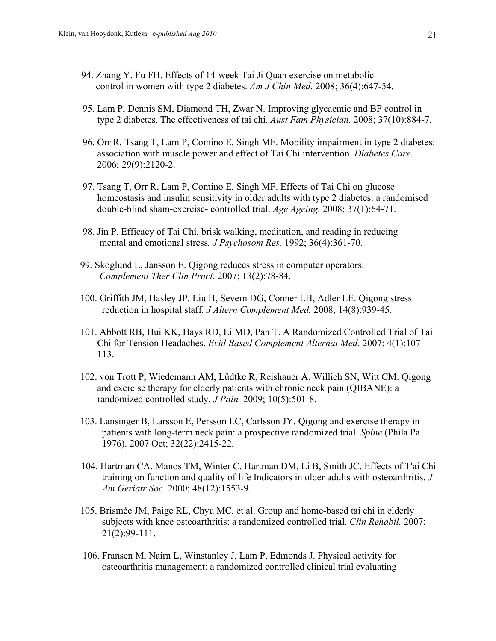- 94. Zhang Y, Fu FH. Effects of 14-week Tai Ji Quan exercise on metabolic control in women with type 2 diabetes. *Am J Chin Med*. 2008; 36(4):647-54.
- 95. Lam P, Dennis SM, Diamond TH, Zwar N. Improving glycaemic and BP control in type 2 diabetes. The effectiveness of tai chi*. Aust Fam Physician.* 2008; 37(10):884-7.
- 96. Orr R, Tsang T, Lam P, Comino E, Singh MF. Mobility impairment in type 2 diabetes: association with muscle power and effect of Tai Chi intervention*. Diabetes Care.* 2006; 29(9):2120-2.
- 97. Tsang T, Orr R, Lam P, Comino E, Singh MF. Effects of Tai Chi on glucose homeostasis and insulin sensitivity in older adults with type 2 diabetes: a randomised double-blind sham-exercise- controlled trial. *Age Ageing.* 2008; 37(1):64-71.
- 98. Jin P. Efficacy of Tai Chi, brisk walking, meditation, and reading in reducing mental and emotional stress*. J Psychosom Res.* 1992; 36(4):361-70.
- 99. Skoglund L, Jansson E. Qigong reduces stress in computer operators.  *Complement Ther Clin Pract*. 2007; 13(2):78-84.
- 100. Griffith JM, Hasley JP, Liu H, Severn DG, Conner LH, Adler LE. Qigong stress reduction in hospital staff*. J Altern Complement Med.* 2008; 14(8):939-45.
- 101. Abbott RB, Hui KK, Hays RD, Li MD, Pan T. A Randomized Controlled Trial of Tai Chi for Tension Headaches. *Evid Based Complement Alternat Med*. 2007; 4(1):107- 113.
- 102. von Trott P, Wiedemann AM, Lüdtke R, Reishauer A, Willich SN, Witt CM. Qigong and exercise therapy for elderly patients with chronic neck pain (QIBANE): a randomized controlled study*. J Pain.* 2009; 10(5):501-8.
- 103. Lansinger B, Larsson E, Persson LC, Carlsson JY. Qigong and exercise therapy in patients with long-term neck pain: a prospective randomized trial. *Spine* (Phila Pa 1976). 2007 Oct; 32(22):2415-22.
- 104. Hartman CA, Manos TM, Winter C, Hartman DM, Li B, Smith JC. Effects of T'ai Chi training on function and quality of life Indicators in older adults with osteoarthritis. *J Am Geriatr Soc.* 2000; 48(12):1553-9.
- 105. Brismée JM, Paige RL, Chyu MC, et al. Group and home-based tai chi in elderly subjects with knee osteoarthritis: a randomized controlled trial*. Clin Rehabil.* 2007; 21(2):99-111.
- 106. Fransen M, Nairn L, Winstanley J, Lam P, Edmonds J. Physical activity for osteoarthritis management: a randomized controlled clinical trial evaluating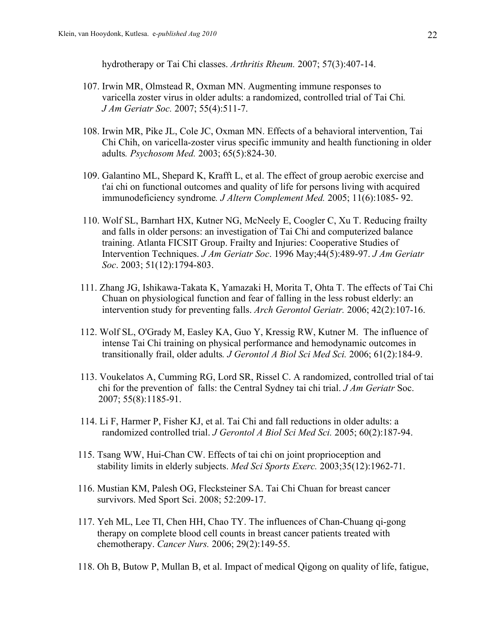hydrotherapy or Tai Chi classes. *Arthritis Rheum.* 2007; 57(3):407-14.

- 107. Irwin MR, Olmstead R, Oxman MN. Augmenting immune responses to varicella zoster virus in older adults: a randomized, controlled trial of Tai Chi*. J Am Geriatr Soc.* 2007; 55(4):511-7.
- 108. Irwin MR, Pike JL, Cole JC, Oxman MN. Effects of a behavioral intervention, Tai Chi Chih, on varicella-zoster virus specific immunity and health functioning in older adults*. Psychosom Med.* 2003; 65(5):824-30.
- 109. Galantino ML, Shepard K, Krafft L, et al. The effect of group aerobic exercise and t'ai chi on functional outcomes and quality of life for persons living with acquired immunodeficiency syndrome*. J Altern Complement Med.* 2005; 11(6):1085- 92.
- 110. Wolf SL, Barnhart HX, Kutner NG, McNeely E, Coogler C, Xu T. Reducing frailty and falls in older persons: an investigation of Tai Chi and computerized balance training. Atlanta FICSIT Group. Frailty and Injuries: Cooperative Studies of Intervention Techniques. *J Am Geriatr Soc*. 1996 May;44(5):489-97. *J Am Geriatr Soc*. 2003; 51(12):1794-803.
- 111. Zhang JG, Ishikawa-Takata K, Yamazaki H, Morita T, Ohta T. The effects of Tai Chi Chuan on physiological function and fear of falling in the less robust elderly: an intervention study for preventing falls. *Arch Gerontol Geriatr.* 2006; 42(2):107-16.
- 112. Wolf SL, O'Grady M, Easley KA, Guo Y, Kressig RW, Kutner M. The influence of intense Tai Chi training on physical performance and hemodynamic outcomes in transitionally frail, older adults*. J Gerontol A Biol Sci Med Sci.* 2006; 61(2):184-9.
- 113. Voukelatos A, Cumming RG, Lord SR, Rissel C. A randomized, controlled trial of tai chi for the prevention of falls: the Central Sydney tai chi trial. *J Am Geriatr* Soc. 2007; 55(8):1185-91.
- 114. Li F, Harmer P, Fisher KJ, et al. Tai Chi and fall reductions in older adults: a randomized controlled trial. *J Gerontol A Biol Sci Med Sci.* 2005; 60(2):187-94.
- 115. Tsang WW, Hui-Chan CW. Effects of tai chi on joint proprioception and stability limits in elderly subjects. *Med Sci Sports Exerc.* 2003;35(12):1962-71.
- 116. Mustian KM, Palesh OG, Flecksteiner SA. Tai Chi Chuan for breast cancer survivors. Med Sport Sci. 2008; 52:209-17.
- 117. Yeh ML, Lee TI, Chen HH, Chao TY. The influences of Chan-Chuang qi-gong therapy on complete blood cell counts in breast cancer patients treated with chemotherapy. *Cancer Nurs.* 2006; 29(2):149-55.
- 118. Oh B, Butow P, Mullan B, et al. Impact of medical Qigong on quality of life, fatigue,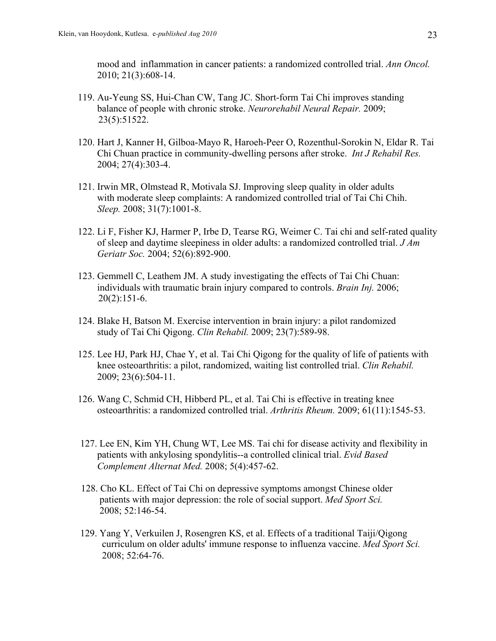mood and inflammation in cancer patients: a randomized controlled trial. *Ann Oncol.* 2010; 21(3):608-14.

- 119. Au-Yeung SS, Hui-Chan CW, Tang JC. Short-form Tai Chi improves standing balance of people with chronic stroke. *Neurorehabil Neural Repair.* 2009; 23(5):51522.
- 120. Hart J, Kanner H, Gilboa-Mayo R, Haroeh-Peer O, Rozenthul-Sorokin N, Eldar R. Tai Chi Chuan practice in community-dwelling persons after stroke. *Int J Rehabil Res.* 2004; 27(4):303-4.
- 121. Irwin MR, Olmstead R, Motivala SJ. Improving sleep quality in older adults with moderate sleep complaints: A randomized controlled trial of Tai Chi Chih. *Sleep.* 2008; 31(7):1001-8.
- 122. Li F, Fisher KJ, Harmer P, Irbe D, Tearse RG, Weimer C. Tai chi and self-rated quality of sleep and daytime sleepiness in older adults: a randomized controlled trial. *J Am Geriatr Soc.* 2004; 52(6):892-900.
- 123. Gemmell C, Leathem JM. A study investigating the effects of Tai Chi Chuan: individuals with traumatic brain injury compared to controls. *Brain Inj.* 2006; 20(2):151-6.
- 124. Blake H, Batson M. Exercise intervention in brain injury: a pilot randomized study of Tai Chi Qigong. *Clin Rehabil.* 2009; 23(7):589-98.
- 125. Lee HJ, Park HJ, Chae Y, et al. Tai Chi Qigong for the quality of life of patients with knee osteoarthritis: a pilot, randomized, waiting list controlled trial. *Clin Rehabil.* 2009; 23(6):504-11.
- 126. Wang C, Schmid CH, Hibberd PL, et al. Tai Chi is effective in treating knee osteoarthritis: a randomized controlled trial. *Arthritis Rheum.* 2009; 61(11):1545-53.
- 127. Lee EN, Kim YH, Chung WT, Lee MS. Tai chi for disease activity and flexibility in patients with ankylosing spondylitis--a controlled clinical trial. *Evid Based Complement Alternat Med.* 2008; 5(4):457-62.
- 128. Cho KL. Effect of Tai Chi on depressive symptoms amongst Chinese older patients with major depression: the role of social support. *Med Sport Sci.* 2008; 52:146-54.
- 129. Yang Y, Verkuilen J, Rosengren KS, et al. Effects of a traditional Taiji/Qigong curriculum on older adults' immune response to influenza vaccine. *Med Sport Sci.* 2008; 52:64-76.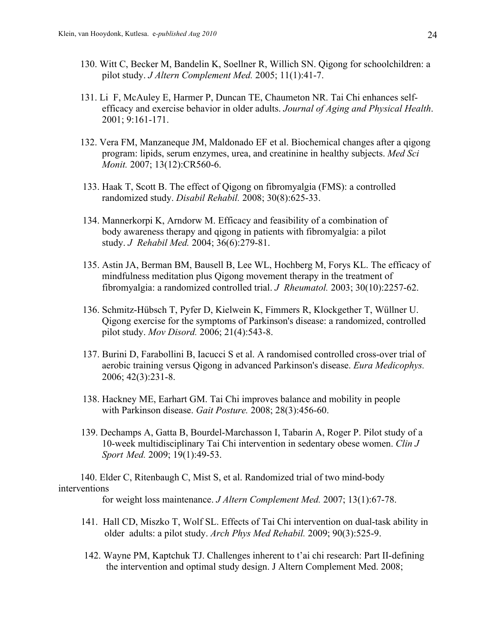- 130. Witt C, Becker M, Bandelin K, Soellner R, Willich SN. Qigong for schoolchildren: a pilot study. *J Altern Complement Med.* 2005; 11(1):41-7.
- 131. Li F, McAuley E, Harmer P, Duncan TE, Chaumeton NR. Tai Chi enhances selfefficacy and exercise behavior in older adults. *Journal of Aging and Physical Health*. 2001; 9:161-171.
- 132. Vera FM, Manzaneque JM, Maldonado EF et al. Biochemical changes after a qigong program: lipids, serum enzymes, urea, and creatinine in healthy subjects. *Med Sci Monit.* 2007; 13(12):CR560-6.
- 133. Haak T, Scott B. The effect of Qigong on fibromyalgia (FMS): a controlled randomized study. *Disabil Rehabil.* 2008; 30(8):625-33.
- 134. Mannerkorpi K, Arndorw M. Efficacy and feasibility of a combination of body awareness therapy and qigong in patients with fibromyalgia: a pilot study. *J Rehabil Med.* 2004; 36(6):279-81.
- 135. Astin JA, Berman BM, Bausell B, Lee WL, Hochberg M, Forys KL. The efficacy of mindfulness meditation plus Qigong movement therapy in the treatment of fibromyalgia: a randomized controlled trial. *J Rheumatol.* 2003; 30(10):2257-62.
- 136. Schmitz-Hübsch T, Pyfer D, Kielwein K, Fimmers R, Klockgether T, Wüllner U. Qigong exercise for the symptoms of Parkinson's disease: a randomized, controlled pilot study. *Mov Disord.* 2006; 21(4):543-8.
- 137. Burini D, Farabollini B, Iacucci S et al. A randomised controlled cross-over trial of aerobic training versus Qigong in advanced Parkinson's disease. *Eura Medicophys.* 2006; 42(3):231-8.
- 138. Hackney ME, Earhart GM. Tai Chi improves balance and mobility in people with Parkinson disease. *Gait Posture.* 2008; 28(3):456-60.
- 139. Dechamps A, Gatta B, Bourdel-Marchasson I, Tabarin A, Roger P. Pilot study of a 10-week multidisciplinary Tai Chi intervention in sedentary obese women. *Clin J Sport Med.* 2009; 19(1):49-53.

 140. Elder C, Ritenbaugh C, Mist S, et al. Randomized trial of two mind-body interventions

for weight loss maintenance. *J Altern Complement Med.* 2007; 13(1):67-78.

- 141. Hall CD, Miszko T, Wolf SL. Effects of Tai Chi intervention on dual-task ability in older adults: a pilot study. *Arch Phys Med Rehabil.* 2009; 90(3):525-9.
- 142. Wayne PM, Kaptchuk TJ. Challenges inherent to t'ai chi research: Part II-defining the intervention and optimal study design. J Altern Complement Med. 2008;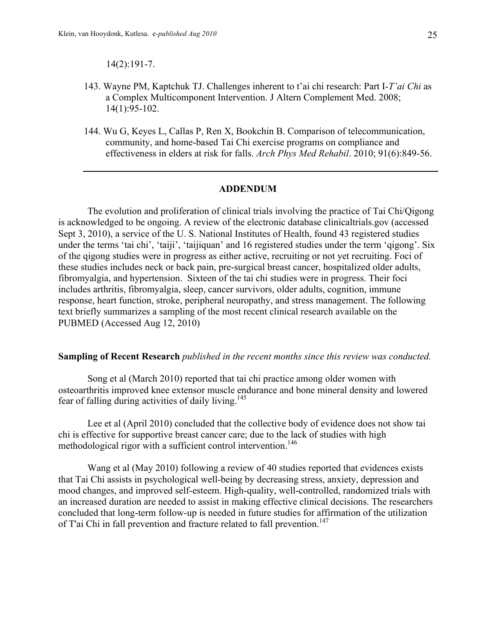14(2):191-7.

- 143. Wayne PM, Kaptchuk TJ. Challenges inherent to t'ai chi research: Part I-*T'ai Chi* as a Complex Multicomponent Intervention. J Altern Complement Med. 2008; 14(1):95-102.
- 144. Wu G, Keyes L, Callas P, Ren X, Bookchin B. Comparison of telecommunication, community, and home-based Tai Chi exercise programs on compliance and effectiveness in elders at risk for falls. *Arch Phys Med Rehabil*. 2010; 91(6):849-56.

#### **ADDENDUM**

The evolution and proliferation of clinical trials involving the practice of Tai Chi/Qigong is acknowledged to be ongoing. A review of the electronic database clinicaltrials.gov (accessed Sept 3, 2010), a service of the U. S. National Institutes of Health, found 43 registered studies under the terms 'tai chi', 'taiji', 'taijiquan' and 16 registered studies under the term 'qigong'. Six of the qigong studies were in progress as either active, recruiting or not yet recruiting. Foci of these studies includes neck or back pain, pre-surgical breast cancer, hospitalized older adults, fibromyalgia, and hypertension. Sixteen of the tai chi studies were in progress. Their foci includes arthritis, fibromyalgia, sleep, cancer survivors, older adults, cognition, immune response, heart function, stroke, peripheral neuropathy, and stress management. The following text briefly summarizes a sampling of the most recent clinical research available on the PUBMED (Accessed Aug 12, 2010)

#### **Sampling of Recent Research** *published in the recent months since this review was conducted.*

Song et al (March 2010) reported that tai chi practice among older women with osteoarthritis improved knee extensor muscle endurance and bone mineral density and lowered fear of falling during activities of daily living.<sup>145</sup>

Lee et al (April 2010) concluded that the collective body of evidence does not show tai chi is effective for supportive breast cancer care; due to the lack of studies with high methodological rigor with a sufficient control intervention.<sup>146</sup>

Wang et al (May 2010) following a review of 40 studies reported that evidences exists that Tai Chi assists in psychological well-being by decreasing stress, anxiety, depression and mood changes, and improved self-esteem. High-quality, well-controlled, randomized trials with an increased duration are needed to assist in making effective clinical decisions. The researchers concluded that long-term follow-up is needed in future studies for affirmation of the utilization of T'ai Chi in fall prevention and fracture related to fall prevention.<sup>147</sup>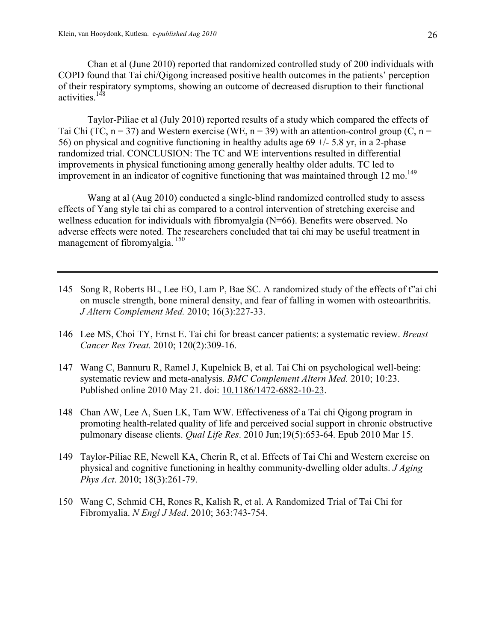Chan et al (June 2010) reported that randomized controlled study of 200 individuals with COPD found that Tai chi/Qigong increased positive health outcomes in the patients' perception of their respiratory symptoms, showing an outcome of decreased disruption to their functional activities.<sup>148</sup>

Taylor-Piliae et al (July 2010) reported results of a study which compared the effects of Tai Chi (TC,  $n = 37$ ) and Western exercise (WE,  $n = 39$ ) with an attention-control group (C,  $n =$ 56) on physical and cognitive functioning in healthy adults age  $69 +/- 5.8$  yr, in a 2-phase randomized trial. CONCLUSION: The TC and WE interventions resulted in differential improvements in physical functioning among generally healthy older adults. TC led to improvement in an indicator of cognitive functioning that was maintained through 12 mo.<sup>149</sup>

Wang at al (Aug 2010) conducted a single-blind randomized controlled study to assess effects of Yang style tai chi as compared to a control intervention of stretching exercise and wellness education for individuals with fibromyalgia (N=66). Benefits were observed. No adverse effects were noted. The researchers concluded that tai chi may be useful treatment in management of fibromyalgia.<sup>150</sup>

- 145 Song R, Roberts BL, Lee EO, Lam P, Bae SC. A randomized study of the effects of t"ai chi on muscle strength, bone mineral density, and fear of falling in women with osteoarthritis. *J Altern Complement Med.* 2010; 16(3):227-33.
- 146 Lee MS, Choi TY, Ernst E. Tai chi for breast cancer patients: a systematic review. *Breast Cancer Res Treat.* 2010; 120(2):309-16.
- 147 Wang C, Bannuru R, Ramel J, Kupelnick B, et al. Tai Chi on psychological well-being: systematic review and meta-analysis. *BMC Complement Altern Med.* 2010; 10:23. Published online 2010 May 21. doi: 10.1186/1472-6882-10-23.
- 148 Chan AW, Lee A, Suen LK, Tam WW. Effectiveness of a Tai chi Qigong program in promoting health-related quality of life and perceived social support in chronic obstructive pulmonary disease clients. *Qual Life Res*. 2010 Jun;19(5):653-64. Epub 2010 Mar 15.
- 149 Taylor-Piliae RE, Newell KA, Cherin R, et al. Effects of Tai Chi and Western exercise on physical and cognitive functioning in healthy community-dwelling older adults. *J Aging Phys Act*. 2010; 18(3):261-79.
- 150 Wang C, Schmid CH, Rones R, Kalish R, et al. A Randomized Trial of Tai Chi for Fibromyalia. *N Engl J Med*. 2010; 363:743-754.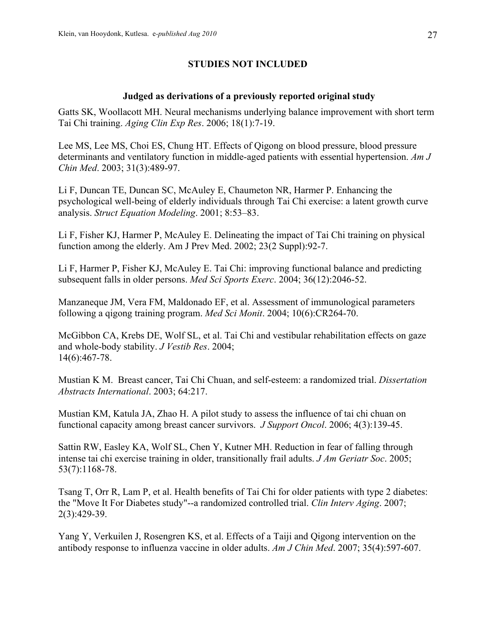# **STUDIES NOT INCLUDED**

### **Judged as derivations of a previously reported original study**

Gatts SK, Woollacott MH. Neural mechanisms underlying balance improvement with short term Tai Chi training. *Aging Clin Exp Res*. 2006; 18(1):7-19.

Lee MS, Lee MS, Choi ES, Chung HT. Effects of Qigong on blood pressure, blood pressure determinants and ventilatory function in middle-aged patients with essential hypertension. *Am J Chin Med*. 2003; 31(3):489-97.

Li F, Duncan TE, Duncan SC, McAuley E, Chaumeton NR, Harmer P. Enhancing the psychological well-being of elderly individuals through Tai Chi exercise: a latent growth curve analysis. *Struct Equation Modeling*. 2001; 8:53–83.

Li F, Fisher KJ, Harmer P, McAuley E. Delineating the impact of Tai Chi training on physical function among the elderly. Am J Prev Med. 2002; 23(2 Suppl):92-7.

Li F, Harmer P, Fisher KJ, McAuley E. Tai Chi: improving functional balance and predicting subsequent falls in older persons. *Med Sci Sports Exerc*. 2004; 36(12):2046-52.

Manzaneque JM, Vera FM, Maldonado EF, et al. Assessment of immunological parameters following a qigong training program. *Med Sci Monit*. 2004; 10(6):CR264-70.

McGibbon CA, Krebs DE, Wolf SL, et al. Tai Chi and vestibular rehabilitation effects on gaze and whole-body stability. *J Vestib Res*. 2004; 14(6):467-78.

Mustian K M. Breast cancer, Tai Chi Chuan, and self-esteem: a randomized trial. *Dissertation Abstracts International*. 2003; 64:217.

Mustian KM, Katula JA, Zhao H. A pilot study to assess the influence of tai chi chuan on functional capacity among breast cancer survivors. *J Support Oncol*. 2006; 4(3):139-45.

Sattin RW, Easley KA, Wolf SL, Chen Y, Kutner MH. Reduction in fear of falling through intense tai chi exercise training in older, transitionally frail adults. *J Am Geriatr Soc*. 2005; 53(7):1168-78.

Tsang T, Orr R, Lam P, et al. Health benefits of Tai Chi for older patients with type 2 diabetes: the "Move It For Diabetes study"--a randomized controlled trial. *Clin Interv Aging*. 2007; 2(3):429-39.

Yang Y, Verkuilen J, Rosengren KS, et al. Effects of a Taiji and Qigong intervention on the antibody response to influenza vaccine in older adults. *Am J Chin Med*. 2007; 35(4):597-607.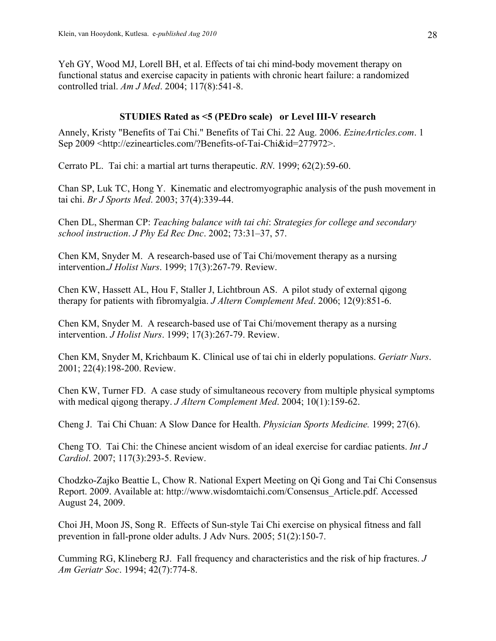Yeh GY, Wood MJ, Lorell BH, et al. Effects of tai chi mind-body movement therapy on functional status and exercise capacity in patients with chronic heart failure: a randomized controlled trial. *Am J Med*. 2004; 117(8):541-8.

# **STUDIES Rated as <5 (PEDro scale) or Level III-V research**

Annely, Kristy "Benefits of Tai Chi." Benefits of Tai Chi. 22 Aug. 2006. *EzineArticles.com*. 1 Sep 2009 <http://ezinearticles.com/?Benefits-of-Tai-Chi&id=277972>.

Cerrato PL. Tai chi: a martial art turns therapeutic. *RN*. 1999; 62(2):59-60.

Chan SP, Luk TC, Hong Y. Kinematic and electromyographic analysis of the push movement in tai chi. *Br J Sports Med*. 2003; 37(4):339-44.

Chen DL, Sherman CP: *Teaching balance with tai chi*: *Strategies for college and secondary school instruction*. *J Phy Ed Rec Dnc*. 2002; 73:31–37, 57.

Chen KM, Snyder M. A research-based use of Tai Chi/movement therapy as a nursing intervention.*J Holist Nurs*. 1999; 17(3):267-79. Review.

Chen KW, Hassett AL, Hou F, Staller J, Lichtbroun AS. A pilot study of external qigong therapy for patients with fibromyalgia. *J Altern Complement Med*. 2006; 12(9):851-6.

Chen KM, Snyder M. A research-based use of Tai Chi/movement therapy as a nursing intervention. *J Holist Nurs*. 1999; 17(3):267-79. Review.

Chen KM, Snyder M, Krichbaum K. Clinical use of tai chi in elderly populations. *Geriatr Nurs*. 2001; 22(4):198-200. Review.

Chen KW, Turner FD. A case study of simultaneous recovery from multiple physical symptoms with medical qigong therapy. *J Altern Complement Med*. 2004; 10(1):159-62.

Cheng J. Tai Chi Chuan: A Slow Dance for Health. *Physician Sports Medicine.* 1999; 27(6).

Cheng TO. Tai Chi: the Chinese ancient wisdom of an ideal exercise for cardiac patients. *Int J Cardiol*. 2007; 117(3):293-5. Review.

Chodzko-Zajko Beattie L, Chow R. National Expert Meeting on Qi Gong and Tai Chi Consensus Report. 2009. Available at: http://www.wisdomtaichi.com/Consensus\_Article.pdf. Accessed August 24, 2009.

Choi JH, Moon JS, Song R. Effects of Sun-style Tai Chi exercise on physical fitness and fall prevention in fall-prone older adults. J Adv Nurs. 2005; 51(2):150-7.

Cumming RG, Klineberg RJ. Fall frequency and characteristics and the risk of hip fractures. *J Am Geriatr Soc*. 1994; 42(7):774-8.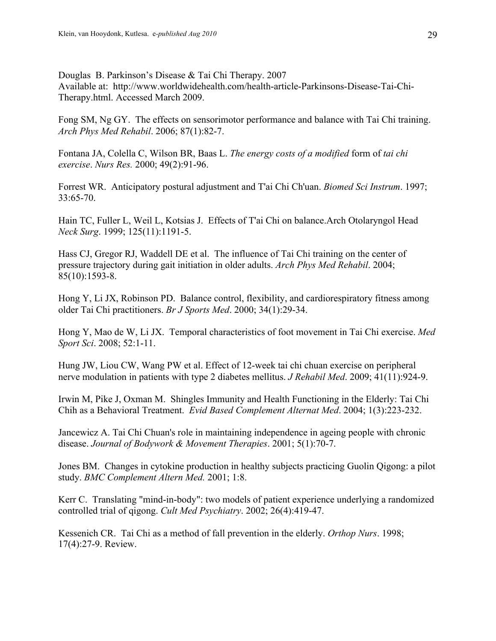Douglas B. Parkinson's Disease & Tai Chi Therapy. 2007 Available at:http://www.worldwidehealth.com/health-article-Parkinsons-Disease-Tai-Chi-Therapy.html. Accessed March 2009.

Fong SM, Ng GY. The effects on sensorimotor performance and balance with Tai Chi training. *Arch Phys Med Rehabil*. 2006; 87(1):82-7.

Fontana JA, Colella C, Wilson BR, Baas L. *The energy costs of a modified* form of *tai chi exercise*. *Nurs Res.* 2000; 49(2):91-96.

Forrest WR. Anticipatory postural adjustment and T'ai Chi Ch'uan. *Biomed Sci Instrum*. 1997; 33:65-70.

Hain TC, Fuller L, Weil L, Kotsias J. Effects of T'ai Chi on balance.Arch Otolaryngol Head *Neck Surg*. 1999; 125(11):1191-5.

Hass CJ, Gregor RJ, Waddell DE et al. The influence of Tai Chi training on the center of pressure trajectory during gait initiation in older adults. *Arch Phys Med Rehabil*. 2004; 85(10):1593-8.

Hong Y, Li JX, Robinson PD. Balance control, flexibility, and cardiorespiratory fitness among older Tai Chi practitioners. *Br J Sports Med*. 2000; 34(1):29-34.

Hong Y, Mao de W, Li JX. Temporal characteristics of foot movement in Tai Chi exercise. *Med Sport Sci*. 2008; 52:1-11.

Hung JW, Liou CW, Wang PW et al. Effect of 12-week tai chi chuan exercise on peripheral nerve modulation in patients with type 2 diabetes mellitus. *J Rehabil Med*. 2009; 41(11):924-9.

Irwin M, Pike J, Oxman M. Shingles Immunity and Health Functioning in the Elderly: Tai Chi Chih as a Behavioral Treatment. *Evid Based Complement Alternat Med*. 2004; 1(3):223-232.

Jancewicz A. Tai Chi Chuan's role in maintaining independence in ageing people with chronic disease. *Journal of Bodywork & Movement Therapies*. 2001; 5(1):70-7.

Jones BM. Changes in cytokine production in healthy subjects practicing Guolin Qigong: a pilot study. *BMC Complement Altern Med.* 2001; 1:8.

Kerr C. Translating "mind-in-body": two models of patient experience underlying a randomized controlled trial of qigong. *Cult Med Psychiatry*. 2002; 26(4):419-47.

Kessenich CR. Tai Chi as a method of fall prevention in the elderly. *Orthop Nurs*. 1998; 17(4):27-9. Review.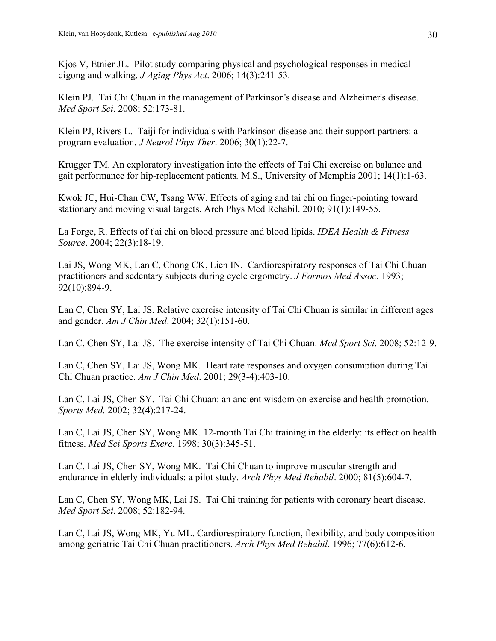Kjos V, Etnier JL. Pilot study comparing physical and psychological responses in medical qigong and walking. *J Aging Phys Act*. 2006; 14(3):241-53.

Klein PJ. Tai Chi Chuan in the management of Parkinson's disease and Alzheimer's disease. *Med Sport Sci*. 2008; 52:173-81.

Klein PJ, Rivers L. Taiji for individuals with Parkinson disease and their support partners: a program evaluation. *J Neurol Phys Ther*. 2006; 30(1):22-7.

Krugger TM. An exploratory investigation into the effects of Tai Chi exercise on balance and gait performance for hip-replacement patients*.* M.S., University of Memphis 2001; 14(1):1-63.

Kwok JC, Hui-Chan CW, Tsang WW. Effects of aging and tai chi on finger-pointing toward stationary and moving visual targets. Arch Phys Med Rehabil. 2010; 91(1):149-55.

La Forge, R. Effects of t'ai chi on blood pressure and blood lipids. *IDEA Health & Fitness Source*. 2004; 22(3):18-19.

Lai JS, Wong MK, Lan C, Chong CK, Lien IN. Cardiorespiratory responses of Tai Chi Chuan practitioners and sedentary subjects during cycle ergometry. *J Formos Med Assoc*. 1993; 92(10):894-9.

Lan C, Chen SY, Lai JS. Relative exercise intensity of Tai Chi Chuan is similar in different ages and gender. *Am J Chin Med*. 2004; 32(1):151-60.

Lan C, Chen SY, Lai JS. The exercise intensity of Tai Chi Chuan. *Med Sport Sci*. 2008; 52:12-9.

Lan C, Chen SY, Lai JS, Wong MK. Heart rate responses and oxygen consumption during Tai Chi Chuan practice. *Am J Chin Med*. 2001; 29(3-4):403-10.

Lan C, Lai JS, Chen SY. Tai Chi Chuan: an ancient wisdom on exercise and health promotion. *Sports Med.* 2002; 32(4):217-24.

Lan C, Lai JS, Chen SY, Wong MK. 12-month Tai Chi training in the elderly: its effect on health fitness. *Med Sci Sports Exerc*. 1998; 30(3):345-51.

Lan C, Lai JS, Chen SY, Wong MK. Tai Chi Chuan to improve muscular strength and endurance in elderly individuals: a pilot study. *Arch Phys Med Rehabil*. 2000; 81(5):604-7.

Lan C, Chen SY, Wong MK, Lai JS. Tai Chi training for patients with coronary heart disease. *Med Sport Sci*. 2008; 52:182-94.

Lan C, Lai JS, Wong MK, Yu ML. Cardiorespiratory function, flexibility, and body composition among geriatric Tai Chi Chuan practitioners. *Arch Phys Med Rehabil*. 1996; 77(6):612-6.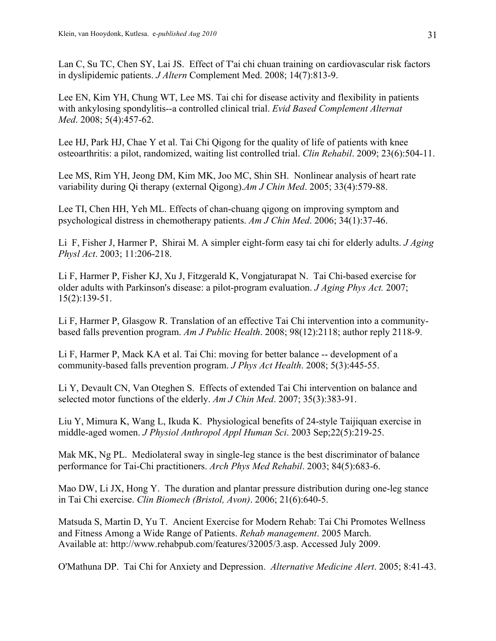Lan C, Su TC, Chen SY, Lai JS. Effect of T'ai chi chuan training on cardiovascular risk factors in dyslipidemic patients. *J Altern* Complement Med. 2008; 14(7):813-9.

Lee EN, Kim YH, Chung WT, Lee MS. Tai chi for disease activity and flexibility in patients with ankylosing spondylitis--a controlled clinical trial. *Evid Based Complement Alternat Med*. 2008; 5(4):457-62.

Lee HJ, Park HJ, Chae Y et al. Tai Chi Qigong for the quality of life of patients with knee osteoarthritis: a pilot, randomized, waiting list controlled trial. *Clin Rehabil*. 2009; 23(6):504-11.

Lee MS, Rim YH, Jeong DM, Kim MK, Joo MC, Shin SH. Nonlinear analysis of heart rate variability during Qi therapy (external Qigong).*Am J Chin Med*. 2005; 33(4):579-88.

Lee TI, Chen HH, Yeh ML. Effects of chan-chuang qigong on improving symptom and psychological distress in chemotherapy patients. *Am J Chin Med*. 2006; 34(1):37-46.

Li F, Fisher J, Harmer P, Shirai M. A simpler eight-form easy tai chi for elderly adults. *J Aging Physl Act*. 2003; 11:206-218.

Li F, Harmer P, Fisher KJ, Xu J, Fitzgerald K, Vongjaturapat N. Tai Chi-based exercise for older adults with Parkinson's disease: a pilot-program evaluation. *J Aging Phys Act.* 2007; 15(2):139-51.

Li F, Harmer P, Glasgow R. Translation of an effective Tai Chi intervention into a communitybased falls prevention program. *Am J Public Health*. 2008; 98(12):2118; author reply 2118-9.

Li F, Harmer P, Mack KA et al. Tai Chi: moving for better balance -- development of a community-based falls prevention program. *J Phys Act Health*. 2008; 5(3):445-55.

Li Y, Devault CN, Van Oteghen S. Effects of extended Tai Chi intervention on balance and selected motor functions of the elderly. *Am J Chin Med*. 2007; 35(3):383-91.

Liu Y, Mimura K, Wang L, Ikuda K. Physiological benefits of 24-style Taijiquan exercise in middle-aged women. *J Physiol Anthropol Appl Human Sci*. 2003 Sep;22(5):219-25.

Mak MK, Ng PL. Mediolateral sway in single-leg stance is the best discriminator of balance performance for Tai-Chi practitioners. *Arch Phys Med Rehabil*. 2003; 84(5):683-6.

Mao DW, Li JX, Hong Y. The duration and plantar pressure distribution during one-leg stance in Tai Chi exercise. *Clin Biomech (Bristol, Avon)*. 2006; 21(6):640-5.

Matsuda S, Martin D, Yu T. Ancient Exercise for Modern Rehab: Tai Chi Promotes Wellness and Fitness Among a Wide Range of Patients. *Rehab management*. 2005 March. Available at: http://www.rehabpub.com/features/32005/3.asp. Accessed July 2009.

O'Mathuna DP. Tai Chi for Anxiety and Depression. *Alternative Medicine Alert*. 2005; 8:41-43.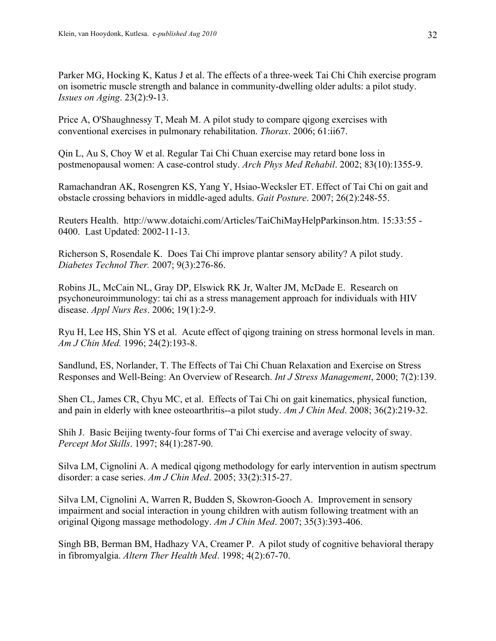Parker MG, Hocking K, Katus J et al. The effects of a three-week Tai Chi Chih exercise program on isometric muscle strength and balance in community-dwelling older adults: a pilot study. *Issues on Aging*. 23(2):9-13.

Price A, O'Shaughnessy T, Meah M. A pilot study to compare qigong exercises with conventional exercises in pulmonary rehabilitation. *Thorax*. 2006; 61:ii67.

Qin L, Au S, Choy W et al. Regular Tai Chi Chuan exercise may retard bone loss in postmenopausal women: A case-control study. *Arch Phys Med Rehabil*. 2002; 83(10):1355-9.

Ramachandran AK, Rosengren KS, Yang Y, Hsiao-Wecksler ET. Effect of Tai Chi on gait and obstacle crossing behaviors in middle-aged adults. *Gait Posture*. 2007; 26(2):248-55.

Reuters Health. http://www.dotaichi.com/Articles/TaiChiMayHelpParkinson.htm. 15:33:55 - 0400. Last Updated: 2002-11-13.

Richerson S, Rosendale K. Does Tai Chi improve plantar sensory ability? A pilot study. *Diabetes Technol Ther.* 2007; 9(3):276-86.

Robins JL, McCain NL, Gray DP, Elswick RK Jr, Walter JM, McDade E. Research on psychoneuroimmunology: tai chi as a stress management approach for individuals with HIV disease. *Appl Nurs Res*. 2006; 19(1):2-9.

Ryu H, Lee HS, Shin YS et al. Acute effect of qigong training on stress hormonal levels in man. *Am J Chin Med.* 1996; 24(2):193-8.

Sandlund, ES, Norlander, T. The Effects of Tai Chi Chuan Relaxation and Exercise on Stress Responses and Well-Being: An Overview of Research. *Int J Stress Management*, 2000; 7(2):139.

Shen CL, James CR, Chyu MC, et al. Effects of Tai Chi on gait kinematics, physical function, and pain in elderly with knee osteoarthritis--a pilot study. *Am J Chin Med*. 2008; 36(2):219-32.

Shih J. Basic Beijing twenty-four forms of T'ai Chi exercise and average velocity of sway. *Percept Mot Skills*. 1997; 84(1):287-90.

Silva LM, Cignolini A. A medical qigong methodology for early intervention in autism spectrum disorder: a case series. *Am J Chin Med*. 2005; 33(2):315-27.

Silva LM, Cignolini A, Warren R, Budden S, Skowron-Gooch A. Improvement in sensory impairment and social interaction in young children with autism following treatment with an original Qigong massage methodology. *Am J Chin Med*. 2007; 35(3):393-406.

Singh BB, Berman BM, Hadhazy VA, Creamer P. A pilot study of cognitive behavioral therapy in fibromyalgia. *Altern Ther Health Med*. 1998; 4(2):67-70.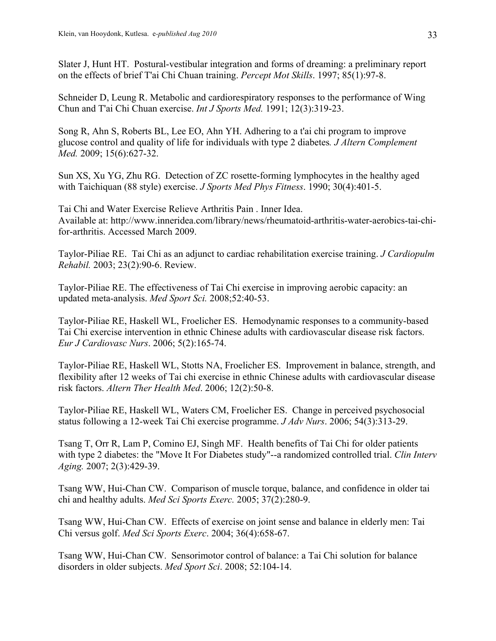Slater J, Hunt HT. Postural-vestibular integration and forms of dreaming: a preliminary report on the effects of brief T'ai Chi Chuan training. *Percept Mot Skills*. 1997; 85(1):97-8.

Schneider D, Leung R. Metabolic and cardiorespiratory responses to the performance of Wing Chun and T'ai Chi Chuan exercise. *Int J Sports Med.* 1991; 12(3):319-23.

Song R, Ahn S, Roberts BL, Lee EO, Ahn YH. Adhering to a t'ai chi program to improve glucose control and quality of life for individuals with type 2 diabetes*. J Altern Complement Med.* 2009; 15(6):627-32.

Sun XS, Xu YG, Zhu RG. Detection of ZC rosette-forming lymphocytes in the healthy aged with Taichiquan (88 style) exercise. *J Sports Med Phys Fitness*. 1990; 30(4):401-5.

Tai Chi and Water Exercise Relieve Arthritis Pain . Inner Idea. Available at: http://www.inneridea.com/library/news/rheumatoid-arthritis-water-aerobics-tai-chifor-arthritis. Accessed March 2009.

Taylor-Piliae RE. Tai Chi as an adjunct to cardiac rehabilitation exercise training. *J Cardiopulm Rehabil.* 2003; 23(2):90-6. Review.

Taylor-Piliae RE. The effectiveness of Tai Chi exercise in improving aerobic capacity: an updated meta-analysis. *Med Sport Sci.* 2008;52:40-53.

Taylor-Piliae RE, Haskell WL, Froelicher ES. Hemodynamic responses to a community-based Tai Chi exercise intervention in ethnic Chinese adults with cardiovascular disease risk factors. *Eur J Cardiovasc Nurs*. 2006; 5(2):165-74.

Taylor-Piliae RE, Haskell WL, Stotts NA, Froelicher ES. Improvement in balance, strength, and flexibility after 12 weeks of Tai chi exercise in ethnic Chinese adults with cardiovascular disease risk factors. *Altern Ther Health Med*. 2006; 12(2):50-8.

Taylor-Piliae RE, Haskell WL, Waters CM, Froelicher ES. Change in perceived psychosocial status following a 12-week Tai Chi exercise programme. *J Adv Nurs*. 2006; 54(3):313-29.

Tsang T, Orr R, Lam P, Comino EJ, Singh MF. Health benefits of Tai Chi for older patients with type 2 diabetes: the "Move It For Diabetes study"--a randomized controlled trial. *Clin Interv Aging.* 2007; 2(3):429-39.

Tsang WW, Hui-Chan CW. Comparison of muscle torque, balance, and confidence in older tai chi and healthy adults. *Med Sci Sports Exerc.* 2005; 37(2):280-9.

Tsang WW, Hui-Chan CW. Effects of exercise on joint sense and balance in elderly men: Tai Chi versus golf. *Med Sci Sports Exerc*. 2004; 36(4):658-67.

Tsang WW, Hui-Chan CW. Sensorimotor control of balance: a Tai Chi solution for balance disorders in older subjects. *Med Sport Sci*. 2008; 52:104-14.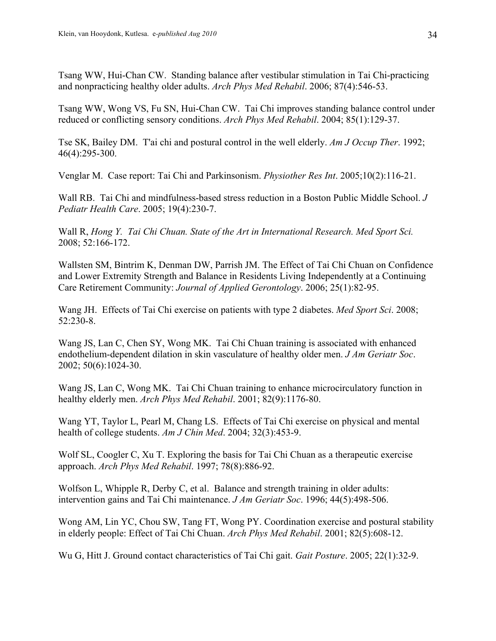Tsang WW, Hui-Chan CW. Standing balance after vestibular stimulation in Tai Chi-practicing and nonpracticing healthy older adults. *Arch Phys Med Rehabil*. 2006; 87(4):546-53.

Tsang WW, Wong VS, Fu SN, Hui-Chan CW. Tai Chi improves standing balance control under reduced or conflicting sensory conditions. *Arch Phys Med Rehabil*. 2004; 85(1):129-37.

Tse SK, Bailey DM. T'ai chi and postural control in the well elderly. *Am J Occup Ther*. 1992; 46(4):295-300.

Venglar M. Case report: Tai Chi and Parkinsonism. *Physiother Res Int*. 2005;10(2):116-21.

Wall RB. Tai Chi and mindfulness-based stress reduction in a Boston Public Middle School. *J Pediatr Health Care*. 2005; 19(4):230-7.

Wall R, *Hong Y. Tai Chi Chuan. State of the Art in International Research. Med Sport Sci.*  2008; 52:166-172.

Wallsten SM, Bintrim K, Denman DW, Parrish JM. The Effect of Tai Chi Chuan on Confidence and Lower Extremity Strength and Balance in Residents Living Independently at a Continuing Care Retirement Community: *Journal of Applied Gerontology*. 2006; 25(1):82-95.

Wang JH. Effects of Tai Chi exercise on patients with type 2 diabetes. *Med Sport Sci*. 2008; 52:230-8.

Wang JS, Lan C, Chen SY, Wong MK. Tai Chi Chuan training is associated with enhanced endothelium-dependent dilation in skin vasculature of healthy older men. *J Am Geriatr Soc*. 2002; 50(6):1024-30.

Wang JS, Lan C, Wong MK. Tai Chi Chuan training to enhance microcirculatory function in healthy elderly men. *Arch Phys Med Rehabil*. 2001; 82(9):1176-80.

Wang YT, Taylor L, Pearl M, Chang LS. Effects of Tai Chi exercise on physical and mental health of college students. *Am J Chin Med*. 2004; 32(3):453-9.

Wolf SL, Coogler C, Xu T. Exploring the basis for Tai Chi Chuan as a therapeutic exercise approach. *Arch Phys Med Rehabil*. 1997; 78(8):886-92.

Wolfson L, Whipple R, Derby C, et al. Balance and strength training in older adults: intervention gains and Tai Chi maintenance. *J Am Geriatr Soc*. 1996; 44(5):498-506.

Wong AM, Lin YC, Chou SW, Tang FT, Wong PY. Coordination exercise and postural stability in elderly people: Effect of Tai Chi Chuan. *Arch Phys Med Rehabil*. 2001; 82(5):608-12.

Wu G, Hitt J. Ground contact characteristics of Tai Chi gait. *Gait Posture*. 2005; 22(1):32-9.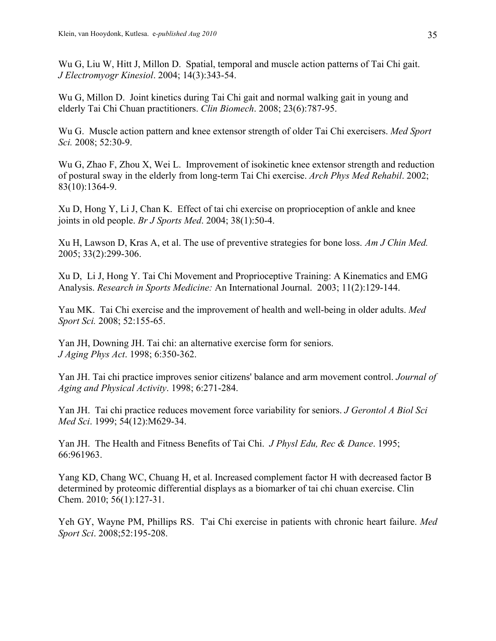Wu G, Liu W, Hitt J, Millon D. Spatial, temporal and muscle action patterns of Tai Chi gait. *J Electromyogr Kinesiol*. 2004; 14(3):343-54.

Wu G, Millon D. Joint kinetics during Tai Chi gait and normal walking gait in young and elderly Tai Chi Chuan practitioners. *Clin Biomech*. 2008; 23(6):787-95.

Wu G. Muscle action pattern and knee extensor strength of older Tai Chi exercisers. *Med Sport Sci.* 2008; 52:30-9.

Wu G, Zhao F, Zhou X, Wei L. Improvement of isokinetic knee extensor strength and reduction of postural sway in the elderly from long-term Tai Chi exercise. *Arch Phys Med Rehabil*. 2002; 83(10):1364-9.

Xu D, Hong Y, Li J, Chan K. Effect of tai chi exercise on proprioception of ankle and knee joints in old people. *Br J Sports Med*. 2004; 38(1):50-4.

Xu H, Lawson D, Kras A, et al. The use of preventive strategies for bone loss. *Am J Chin Med.* 2005; 33(2):299-306.

Xu D, Li J, Hong Y. Tai Chi Movement and Proprioceptive Training: A Kinematics and EMG Analysis. *Research in Sports Medicine:* An International Journal. 2003; 11(2):129-144.

Yau MK. Tai Chi exercise and the improvement of health and well-being in older adults. *Med Sport Sci.* 2008; 52:155-65.

Yan JH, Downing JH. Tai chi: an alternative exercise form for seniors. *J Aging Phys Act*. 1998; 6:350-362.

Yan JH. Tai chi practice improves senior citizens' balance and arm movement control. *Journal of Aging and Physical Activity*. 1998; 6:271-284.

Yan JH. Tai chi practice reduces movement force variability for seniors. *J Gerontol A Biol Sci Med Sci*. 1999; 54(12):M629-34.

Yan JH. The Health and Fitness Benefits of Tai Chi. *J Physl Edu, Rec & Dance*. 1995; 66:961963.

Yang KD, Chang WC, Chuang H, et al. Increased complement factor H with decreased factor B determined by proteomic differential displays as a biomarker of tai chi chuan exercise. Clin Chem. 2010; 56(1):127-31.

Yeh GY, Wayne PM, Phillips RS. T'ai Chi exercise in patients with chronic heart failure. *Med Sport Sci*. 2008;52:195-208.